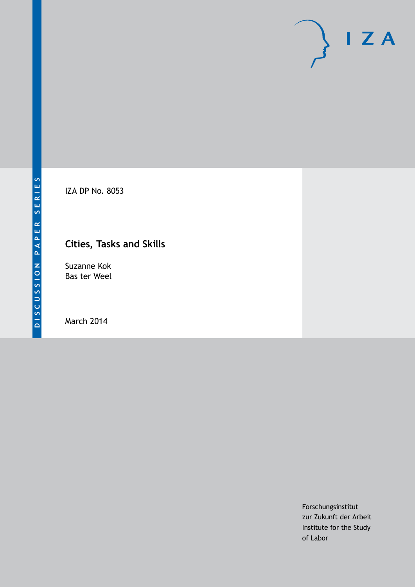

IZA DP No. 8053

## **Cities, Tasks and Skills**

Suzanne Kok Bas ter Weel

March 2014

Forschungsinstitut zur Zukunft der Arbeit Institute for the Study of Labor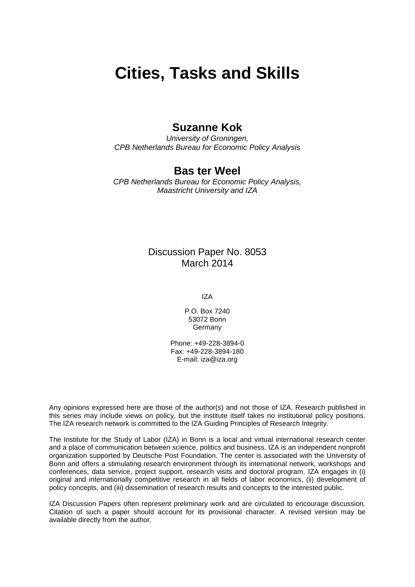# **Cities, Tasks and Skills**

## **Suzanne Kok**

*University of Groningen, CPB Netherlands Bureau for Economic Policy Analysis*

## **Bas ter Weel**

*CPB Netherlands Bureau for Economic Policy Analysis, Maastricht University and IZA*

## Discussion Paper No. 8053 March 2014

IZA

P.O. Box 7240 53072 Bonn **Germany** 

Phone: +49-228-3894-0 Fax: +49-228-3894-180 E-mail: [iza@iza.org](mailto:iza@iza.org)

Any opinions expressed here are those of the author(s) and not those of IZA. Research published in this series may include views on policy, but the institute itself takes no institutional policy positions. The IZA research network is committed to the IZA Guiding Principles of Research Integrity.

The Institute for the Study of Labor (IZA) in Bonn is a local and virtual international research center and a place of communication between science, politics and business. IZA is an independent nonprofit organization supported by Deutsche Post Foundation. The center is associated with the University of Bonn and offers a stimulating research environment through its international network, workshops and conferences, data service, project support, research visits and doctoral program. IZA engages in (i) original and internationally competitive research in all fields of labor economics, (ii) development of policy concepts, and (iii) dissemination of research results and concepts to the interested public.

<span id="page-1-0"></span>IZA Discussion Papers often represent preliminary work and are circulated to encourage discussion. Citation of such a paper should account for its provisional character. A revised version may be available directly from the author.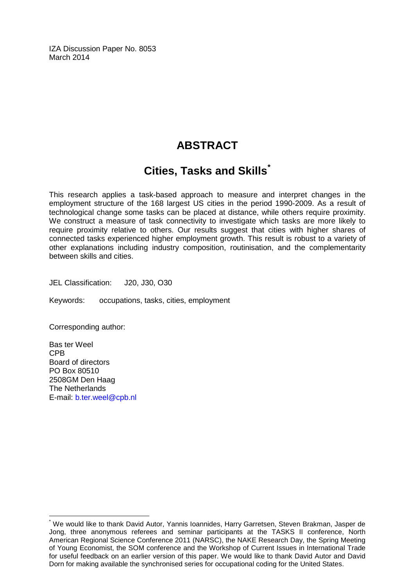IZA Discussion Paper No. 8053 March 2014

## **ABSTRACT**

## **Cities, Tasks and Skills[\\*](#page-1-0)**

This research applies a task-based approach to measure and interpret changes in the employment structure of the 168 largest US cities in the period 1990-2009. As a result of technological change some tasks can be placed at distance, while others require proximity. We construct a measure of task connectivity to investigate which tasks are more likely to require proximity relative to others. Our results suggest that cities with higher shares of connected tasks experienced higher employment growth. This result is robust to a variety of other explanations including industry composition, routinisation, and the complementarity between skills and cities.

JEL Classification: J20, J30, O30

Keywords: occupations, tasks, cities, employment

Corresponding author:

Bas ter Weel CPB Board of directors PO Box 80510 2508GM Den Haag The Netherlands E-mail: [b.ter.weel@cpb.nl](mailto:b.ter.weel@cpb.nl)

\* We would like to thank David Autor, Yannis Ioannides, Harry Garretsen, Steven Brakman, Jasper de Jong, three anonymous referees and seminar participants at the TASKS II conference, North American Regional Science Conference 2011 (NARSC), the NAKE Research Day, the Spring Meeting of Young Economist, the SOM conference and the Workshop of Current Issues in International Trade for useful feedback on an earlier version of this paper. We would like to thank David Autor and David Dorn for making available the synchronised series for occupational coding for the United States.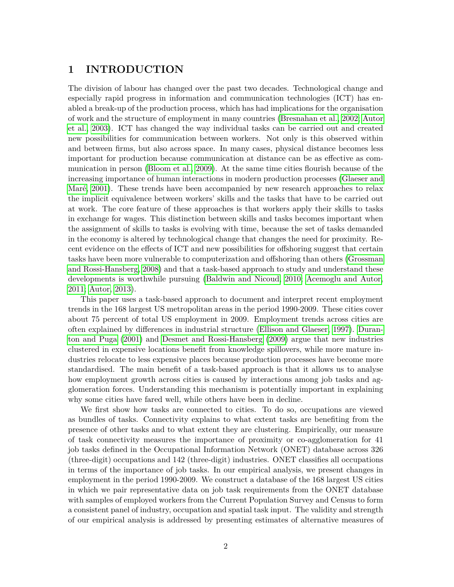## **1 INTRODUCTION**

The division of labour has changed over the past two decades. Technological change and especially rapid progress in information and communication technologies (ICT) has enabled a break-up of the production process, which has had implications for the organisation of work and the structure of employment in many countries [\(Bresnahan et al., 2002;](#page-25-0) [Autor](#page-24-0) [et al., 2003\)](#page-24-0). ICT has changed the way individual tasks can be carried out and created new possibilities for communication between workers. Not only is this observed within and between firms, but also across space. In many cases, physical distance becomes less important for production because communication at distance can be as effective as communication in person [\(Bloom et al., 2009\)](#page-24-1). At the same time cities flourish because of the increasing importance of human interactions in modern production processes [\(Glaeser and](#page-26-0) [Maré, 2001\)](#page-26-0). These trends have been accompanied by new research approaches to relax the implicit equivalence between workers' skills and the tasks that have to be carried out at work. The core feature of these approaches is that workers apply their skills to tasks in exchange for wages. This distinction between skills and tasks becomes important when the assignment of skills to tasks is evolving with time, because the set of tasks demanded in the economy is altered by technological change that changes the need for proximity. Recent evidence on the effects of ICT and new possibilities for offshoring suggest that certain tasks have been more vulnerable to computerization and offshoring than others [\(Grossman](#page-27-0) [and Rossi-Hansberg, 2008\)](#page-27-0) and that a task-based approach to study and understand these developments is worthwhile pursuing [\(Baldwin and Nicoud, 2010;](#page-24-2) [Acemoglu and Autor,](#page-24-3) [2011;](#page-24-3) [Autor, 2013\)](#page-24-4).

This paper uses a task-based approach to document and interpret recent employment trends in the 168 largest US metropolitan areas in the period 1990-2009. These cities cover about 75 percent of total US employment in 2009. Employment trends across cities are often explained by differences in industrial structure [\(Ellison and Glaeser, 1997\)](#page-26-1). [Duran](#page-25-1)[ton and Puga](#page-25-1) [\(2001\)](#page-25-1) and [Desmet and Rossi-Hansberg](#page-25-2) [\(2009\)](#page-25-2) argue that new industries clustered in expensive locations benefit from knowledge spillovers, while more mature industries relocate to less expensive places because production processes have become more standardised. The main benefit of a task-based approach is that it allows us to analyse how employment growth across cities is caused by interactions among job tasks and agglomeration forces. Understanding this mechanism is potentially important in explaining why some cities have fared well, while others have been in decline.

We first show how tasks are connected to cities. To do so, occupations are viewed as bundles of tasks. Connectivity explains to what extent tasks are benefiting from the presence of other tasks and to what extent they are clustering. Empirically, our measure of task connectivity measures the importance of proximity or co-agglomeration for 41 job tasks defined in the Occupational Information Network (ONET) database across 326 (three-digit) occupations and 142 (three-digit) industries. ONET classifies all occupations in terms of the importance of job tasks. In our empirical analysis, we present changes in employment in the period 1990-2009. We construct a database of the 168 largest US cities in which we pair representative data on job task requirements from the ONET database with samples of employed workers from the Current Population Survey and Census to form a consistent panel of industry, occupation and spatial task input. The validity and strength of our empirical analysis is addressed by presenting estimates of alternative measures of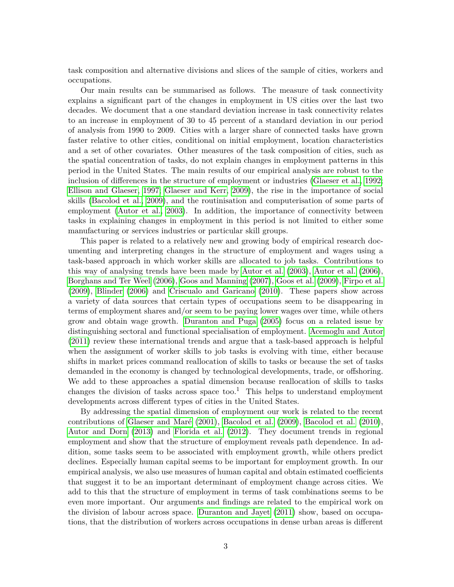task composition and alternative divisions and slices of the sample of cities, workers and occupations.

Our main results can be summarised as follows. The measure of task connectivity explains a significant part of the changes in employment in US cities over the last two decades. We document that a one standard deviation increase in task connectivity relates to an increase in employment of 30 to 45 percent of a standard deviation in our period of analysis from 1990 to 2009. Cities with a larger share of connected tasks have grown faster relative to other cities, conditional on initial employment, location characteristics and a set of other covariates. Other measures of the task composition of cities, such as the spatial concentration of tasks, do not explain changes in employment patterns in this period in the United States. The main results of our empirical analysis are robust to the inclusion of differences in the structure of employment or industries [\(Glaeser et al., 1992;](#page-26-2) [Ellison and Glaeser, 1997;](#page-26-1) [Glaeser and Kerr, 2009\)](#page-26-3), the rise in the importance of social skills [\(Bacolod et al., 2009\)](#page-24-5), and the routinisation and computerisation of some parts of employment [\(Autor et al., 2003\)](#page-24-0). In addition, the importance of connectivity between tasks in explaining changes in employment in this period is not limited to either some manufacturing or services industries or particular skill groups.

This paper is related to a relatively new and growing body of empirical research documenting and interpreting changes in the structure of employment and wages using a task-based approach in which worker skills are allocated to job tasks. Contributions to this way of analysing trends have been made by [Autor et al.](#page-24-0) [\(2003\)](#page-24-0), [Autor et al.](#page-24-6) [\(2006\)](#page-24-6), [Borghans and Ter Weel](#page-25-3) [\(2006\)](#page-25-3), [Goos and Manning](#page-27-1) [\(2007\)](#page-27-1), [Goos et al.](#page-27-2) [\(2009\)](#page-27-2), [Firpo et al.](#page-26-4) [\(2009\)](#page-26-4), [Blinder](#page-24-7) [\(2006\)](#page-24-7) and [Criscualo and Garicano](#page-25-4) [\(2010\)](#page-25-4). These papers show across a variety of data sources that certain types of occupations seem to be disappearing in terms of employment shares and/or seem to be paying lower wages over time, while others grow and obtain wage growth. [Duranton and Puga](#page-25-5) [\(2005\)](#page-25-5) focus on a related issue by distinguishing sectoral and functional specialisation of employment. [Acemoglu and Autor](#page-24-3) [\(2011\)](#page-24-3) review these international trends and argue that a task-based approach is helpful when the assignment of worker skills to job tasks is evolving with time, either because shifts in market prices command reallocation of skills to tasks or because the set of tasks demanded in the economy is changed by technological developments, trade, or offshoring. We add to these approaches a spatial dimension because reallocation of skills to tasks changes the division of tasks across space too.<sup>1</sup> This helps to understand employment developments across different types of cities in the United States.

By addressing the spatial dimension of employment our work is related to the recent contributions of [Glaeser and Maré](#page-26-0) [\(2001\)](#page-26-0), [Bacolod et al.](#page-24-5) [\(2009\)](#page-24-5), [Bacolod et al.](#page-24-8) [\(2010\)](#page-24-8), [Autor and Dorn](#page-24-9) [\(2013\)](#page-24-9) and [Florida et al.](#page-26-5) [\(2012\)](#page-26-5). They document trends in regional employment and show that the structure of employment reveals path dependence. In addition, some tasks seem to be associated with employment growth, while others predict declines. Especially human capital seems to be important for employment growth. In our empirical analysis, we also use measures of human capital and obtain estimated coefficients that suggest it to be an important determinant of employment change across cities. We add to this that the structure of employment in terms of task combinations seems to be even more important. Our arguments and findings are related to the empirical work on the division of labour across space. [Duranton and Jayet](#page-25-6) [\(2011\)](#page-25-6) show, based on occupations, that the distribution of workers across occupations in dense urban areas is different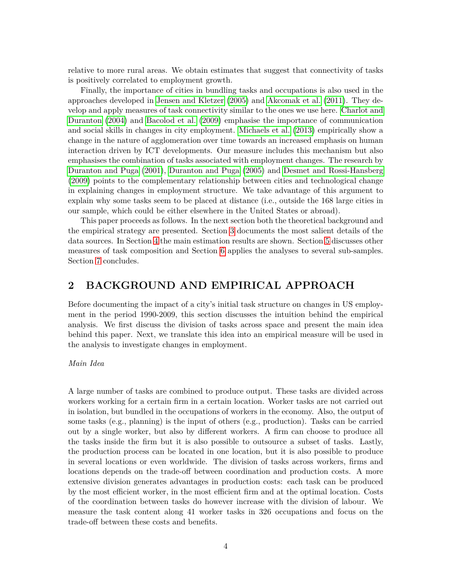relative to more rural areas. We obtain estimates that suggest that connectivity of tasks is positively correlated to employment growth.

Finally, the importance of cities in bundling tasks and occupations is also used in the approaches developed in [Jensen and Kletzer](#page-27-3) [\(2005\)](#page-27-3) and [Akcomak et al.](#page-24-10) [\(2011\)](#page-24-10). They develop and apply measures of task connectivity similar to the ones we use here. [Charlot and](#page-25-7) [Duranton](#page-25-7) [\(2004\)](#page-25-7) and [Bacolod et al.](#page-24-5) [\(2009\)](#page-24-5) emphasise the importance of communication and social skills in changes in city employment. [Michaels et al.](#page-27-4) [\(2013\)](#page-27-4) empirically show a change in the nature of agglomeration over time towards an increased emphasis on human interaction driven by ICT developments. Our measure includes this mechanism but also emphasises the combination of tasks associated with employment changes. The research by [Duranton and Puga](#page-25-1) [\(2001\)](#page-25-1), [Duranton and Puga](#page-25-5) [\(2005\)](#page-25-5) and [Desmet and Rossi-Hansberg](#page-25-2) [\(2009\)](#page-25-2) points to the complementary relationship between cities and technological change in explaining changes in employment structure. We take advantage of this argument to explain why some tasks seem to be placed at distance (i.e., outside the 168 large cities in our sample, which could be either elsewhere in the United States or abroad).

This paper proceeds as follows. In the next section both the theoretical background and the empirical strategy are presented. Section [3](#page-9-0) documents the most salient details of the data sources. In Section [4](#page-12-0) the main estimation results are shown. Section [5](#page-17-0) discusses other measures of task composition and Section [6](#page-19-0) applies the analyses to several sub-samples. Section [7](#page-22-0) concludes.

## <span id="page-5-0"></span>**2 BACKGROUND AND EMPIRICAL APPROACH**

Before documenting the impact of a city's initial task structure on changes in US employment in the period 1990-2009, this section discusses the intuition behind the empirical analysis. We first discuss the division of tasks across space and present the main idea behind this paper. Next, we translate this idea into an empirical measure will be used in the analysis to investigate changes in employment.

#### *Main Idea*

A large number of tasks are combined to produce output. These tasks are divided across workers working for a certain firm in a certain location. Worker tasks are not carried out in isolation, but bundled in the occupations of workers in the economy. Also, the output of some tasks (e.g., planning) is the input of others (e.g., production). Tasks can be carried out by a single worker, but also by different workers. A firm can choose to produce all the tasks inside the firm but it is also possible to outsource a subset of tasks. Lastly, the production process can be located in one location, but it is also possible to produce in several locations or even worldwide. The division of tasks across workers, firms and locations depends on the trade-off between coordination and production costs. A more extensive division generates advantages in production costs: each task can be produced by the most efficient worker, in the most efficient firm and at the optimal location. Costs of the coordination between tasks do however increase with the division of labour. We measure the task content along 41 worker tasks in 326 occupations and focus on the trade-off between these costs and benefits.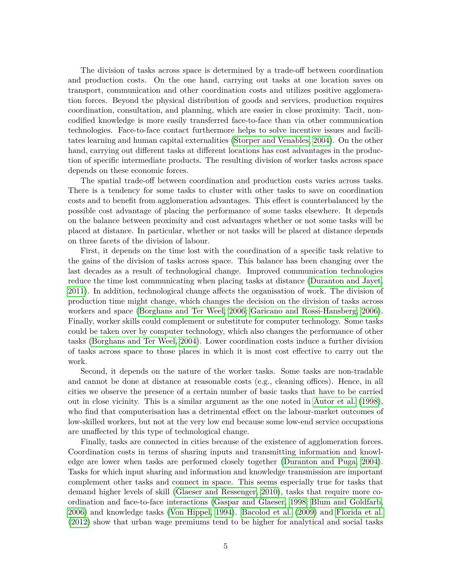The division of tasks across space is determined by a trade-off between coordination and production costs. On the one hand, carrying out tasks at one location saves on transport, communication and other coordination costs and utilizes positive agglomeration forces. Beyond the physical distribution of goods and services, production requires coordination, consultation, and planning, which are easier in close proximity. Tacit, noncodified knowledge is more easily transferred face-to-face than via other communication technologies. Face-to-face contact furthermore helps to solve incentive issues and facilitates learning and human capital externalities [\(Storper and Venables, 2004\)](#page-27-5). On the other hand, carrying out different tasks at different locations has cost advantages in the production of specific intermediate products. The resulting division of worker tasks across space depends on these economic forces.

The spatial trade-off between coordination and production costs varies across tasks. There is a tendency for some tasks to cluster with other tasks to save on coordination costs and to benefit from agglomeration advantages. This effect is counterbalanced by the possible cost advantage of placing the performance of some tasks elsewhere. It depends on the balance between proximity and cost advantages whether or not some tasks will be placed at distance. In particular, whether or not tasks will be placed at distance depends on three facets of the division of labour.

First, it depends on the time lost with the coordination of a specific task relative to the gains of the division of tasks across space. This balance has been changing over the last decades as a result of technological change. Improved communication technologies reduce the time lost communicating when placing tasks at distance [\(Duranton and Jayet,](#page-25-6) [2011\)](#page-25-6). In addition, technological change affects the organisation of work. The division of production time might change, which changes the decision on the division of tasks across workers and space [\(Borghans and Ter Weel, 2006;](#page-25-3) [Garicano and Rossi-Hansberg, 2006\)](#page-26-6). Finally, worker skills could complement or substitute for computer technology. Some tasks could be taken over by computer technology, which also changes the performance of other tasks [\(Borghans and Ter Weel, 2004\)](#page-25-8). Lower coordination costs induce a further division of tasks across space to those places in which it is most cost effective to carry out the work.

Second, it depends on the nature of the worker tasks. Some tasks are non-tradable and cannot be done at distance at reasonable costs (e.g., cleaning offices). Hence, in all cities we observe the presence of a certain number of basic tasks that have to be carried out in close vicinity. This is a similar argument as the one noted in [Autor et al.](#page-24-11) [\(1998\)](#page-24-11), who find that computerisation has a detrimental effect on the labour-market outcomes of low-skilled workers, but not at the very low end because some low-end service occupations are unaffected by this type of technological change.

Finally, tasks are connected in cities because of the existence of agglomeration forces. Coordination costs in terms of sharing inputs and transmitting information and knowledge are lower when tasks are performed closely together [\(Duranton and Puga, 2004\)](#page-25-9). Tasks for which input sharing and information and knowledge transmission are important complement other tasks and connect in space. This seems especially true for tasks that demand higher levels of skill [\(Glaeser and Ressenger, 2010\)](#page-26-7), tasks that require more coordination and face-to-face interactions [\(Gaspar and Glaeser, 1998;](#page-26-8) [Blum and Goldfarb,](#page-25-10) [2006\)](#page-25-10) and knowledge tasks [\(Von Hippel, 1994\)](#page-28-0). [Bacolod et al.](#page-24-5) [\(2009\)](#page-24-5) and [Florida et al.](#page-26-5) [\(2012\)](#page-26-5) show that urban wage premiums tend to be higher for analytical and social tasks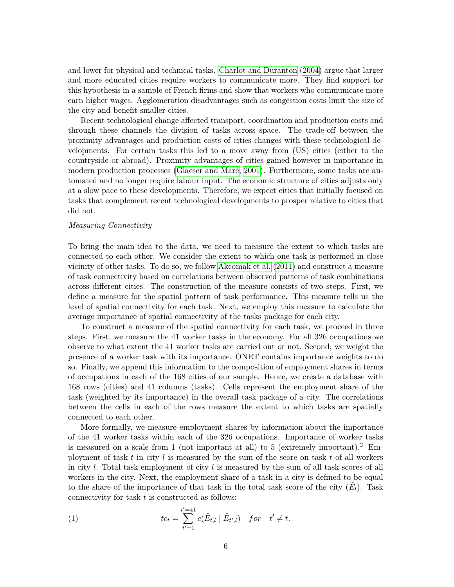and lower for physical and technical tasks. [Charlot and Duranton](#page-25-7) [\(2004\)](#page-25-7) argue that larger and more educated cities require workers to communicate more. They find support for this hypothesis in a sample of French firms and show that workers who communicate more earn higher wages. Agglomeration disadvantages such as congestion costs limit the size of the city and benefit smaller cities.

Recent technological change affected transport, coordination and production costs and through these channels the division of tasks across space. The trade-off between the proximity advantages and production costs of cities changes with these technological developments. For certain tasks this led to a move away from (US) cities (either to the countryside or abroad). Proximity advantages of cities gained however in importance in modern production processes [\(Glaeser and Maré, 2001\)](#page-26-0). Furthermore, some tasks are automated and no longer require labour input. The economic structure of cities adjusts only at a slow pace to these developments. Therefore, we expect cities that initially focused on tasks that complement recent technological developments to prosper relative to cities that did not.

#### *Measuring Connectivity*

To bring the main idea to the data, we need to measure the extent to which tasks are connected to each other. We consider the extent to which one task is performed in close vicinity of other tasks. To do so, we follow [Akcomak et al.](#page-24-10) [\(2011\)](#page-24-10) and construct a measure of task connectivity based on correlations between observed patterns of task combinations across different cities. The construction of the measure consists of two steps. First, we define a measure for the spatial pattern of task performance. This measure tells us the level of spatial connectivity for each task. Next, we employ this measure to calculate the average importance of spatial connectivity of the tasks package for each city.

To construct a measure of the spatial connectivity for each task, we proceed in three steps. First, we measure the 41 worker tasks in the economy. For all 326 occupations we observe to what extent the 41 worker tasks are carried out or not. Second, we weight the presence of a worker task with its importance. ONET contains importance weights to do so. Finally, we append this information to the composition of employment shares in terms of occupations in each of the 168 cities of our sample. Hence, we create a database with 168 rows (cities) and 41 columns (tasks). Cells represent the employment share of the task (weighted by its importance) in the overall task package of a city. The correlations between the cells in each of the rows measure the extent to which tasks are spatially connected to each other.

More formally, we measure employment shares by information about the importance of the 41 worker tasks within each of the 326 occupations. Importance of worker tasks is measured on a scale from 1 (not important at all) to 5 (extremely important).<sup>2</sup> Employment of task *t* in city *l* is measured by the sum of the score on task *t* of all workers in city *l*. Total task employment of city *l* is measured by the sum of all task scores of all workers in the city. Next, the employment share of a task in a city is defined to be equal to the share of the importance of that task in the total task score of the city  $(\tilde{E}_l)$ . Task connectivity for task *t* is constructed as follows:

<span id="page-7-0"></span>(1) 
$$
tc_{t} = \sum_{t'=1}^{t'=41} c(\tilde{E}_{t,l} | \tilde{E}_{t',l}) \quad for \quad t' \neq t.
$$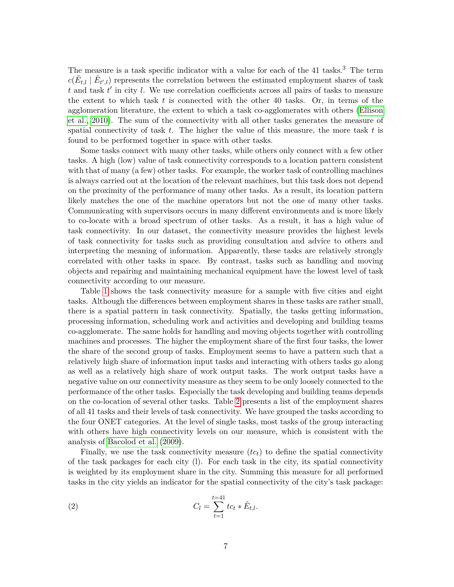The measure is a task specific indicator with a value for each of the 41 tasks.<sup>3</sup> The term  $c(\tilde{E}_{t,l} | \tilde{E}_{t',l})$  represents the correlation between the estimated employment shares of task  $t$  and task  $t'$  in city  $l$ . We use correlation coefficients across all pairs of tasks to measure the extent to which task *t* is connected with the other 40 tasks. Or, in terms of the agglomeration literature, the extent to which a task co-agglomerates with others [\(Ellison](#page-26-9) [et al., 2010\)](#page-26-9). The sum of the connectivity with all other tasks generates the measure of spatial connectivity of task *t*. The higher the value of this measure, the more task *t* is found to be performed together in space with other tasks.

Some tasks connect with many other tasks, while others only connect with a few other tasks. A high (low) value of task connectivity corresponds to a location pattern consistent with that of many (a few) other tasks. For example, the worker task of controlling machines is always carried out at the location of the relevant machines, but this task does not depend on the proximity of the performance of many other tasks. As a result, its location pattern likely matches the one of the machine operators but not the one of many other tasks. Communicating with supervisors occurs in many different environments and is more likely to co-locate with a broad spectrum of other tasks. As a result, it has a high value of task connectivity. In our dataset, the connectivity measure provides the highest levels of task connectivity for tasks such as providing consultation and advice to others and interpreting the meaning of information. Apparently, these tasks are relatively strongly correlated with other tasks in space. By contrast, tasks such as handling and moving objects and repairing and maintaining mechanical equipment have the lowest level of task connectivity according to our measure.

Table [1](#page-30-0) shows the task connectivity measure for a sample with five cities and eight tasks. Although the differences between employment shares in these tasks are rather small, there is a spatial pattern in task connectivity. Spatially, the tasks getting information, processing information, scheduling work and activities and developing and building teams co-agglomerate. The same holds for handling and moving objects together with controlling machines and processes. The higher the employment share of the first four tasks, the lower the share of the second group of tasks. Employment seems to have a pattern such that a relatively high share of information input tasks and interacting with others tasks go along as well as a relatively high share of work output tasks. The work output tasks have a negative value on our connectivity measure as they seem to be only loosely connected to the performance of the other tasks. Especially the task developing and building teams depends on the co-location of several other tasks. Table [2](#page-31-0) presents a list of the employment shares of all 41 tasks and their levels of task connectivity. We have grouped the tasks according to the four ONET categories. At the level of single tasks, most tasks of the group interacting with others have high connectivity levels on our measure, which is consistent with the analysis of [Bacolod et al.](#page-24-5) [\(2009\)](#page-24-5).

Finally, we use the task connectivity measure  $(tc_t)$  to define the spatial connectivity of the task packages for each city (l). For each task in the city, its spatial connectivity is weighted by its employment share in the city. Summing this measure for all performed tasks in the city yields an indicator for the spatial connectivity of the city's task package:

<span id="page-8-0"></span>(2) 
$$
C_l = \sum_{t=1}^{t=41} tc_t * \tilde{E}_{t,l}.
$$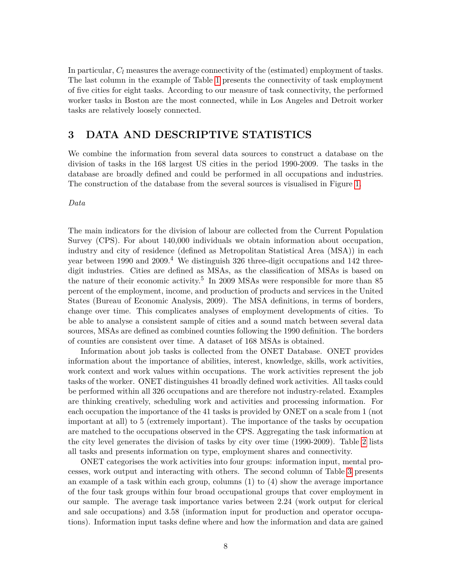In particular, *C<sup>l</sup>* measures the average connectivity of the (estimated) employment of tasks. The last column in the example of Table [1](#page-30-0) presents the connectivity of task employment of five cities for eight tasks. According to our measure of task connectivity, the performed worker tasks in Boston are the most connected, while in Los Angeles and Detroit worker tasks are relatively loosely connected.

## <span id="page-9-0"></span>**3 DATA AND DESCRIPTIVE STATISTICS**

We combine the information from several data sources to construct a database on the division of tasks in the 168 largest US cities in the period 1990-2009. The tasks in the database are broadly defined and could be performed in all occupations and industries. The construction of the database from the several sources is visualised in Figure [1.](#page-37-0)

#### *Data*

The main indicators for the division of labour are collected from the Current Population Survey (CPS). For about 140,000 individuals we obtain information about occupation, industry and city of residence (defined as Metropolitan Statistical Area (MSA)) in each year between 1990 and  $2009<sup>4</sup>$  We distinguish 326 three-digit occupations and 142 threedigit industries. Cities are defined as MSAs, as the classification of MSAs is based on the nature of their economic activity.<sup>5</sup> In 2009 MSAs were responsible for more than 85 percent of the employment, income, and production of products and services in the United States (Bureau of Economic Analysis, 2009). The MSA definitions, in terms of borders, change over time. This complicates analyses of employment developments of cities. To be able to analyse a consistent sample of cities and a sound match between several data sources, MSAs are defined as combined counties following the 1990 definition. The borders of counties are consistent over time. A dataset of 168 MSAs is obtained.

Information about job tasks is collected from the ONET Database. ONET provides information about the importance of abilities, interest, knowledge, skills, work activities, work context and work values within occupations. The work activities represent the job tasks of the worker. ONET distinguishes 41 broadly defined work activities. All tasks could be performed within all 326 occupations and are therefore not industry-related. Examples are thinking creatively, scheduling work and activities and processing information. For each occupation the importance of the 41 tasks is provided by ONET on a scale from 1 (not important at all) to 5 (extremely important). The importance of the tasks by occupation are matched to the occupations observed in the CPS. Aggregating the task information at the city level generates the division of tasks by city over time (1990-2009). Table [2](#page-31-0) lists all tasks and presents information on type, employment shares and connectivity.

ONET categorises the work activities into four groups: information input, mental processes, work output and interacting with others. The second column of Table [3](#page-32-0) presents an example of a task within each group, columns (1) to (4) show the average importance of the four task groups within four broad occupational groups that cover employment in our sample. The average task importance varies between 2.24 (work output for clerical and sale occupations) and 3.58 (information input for production and operator occupations). Information input tasks define where and how the information and data are gained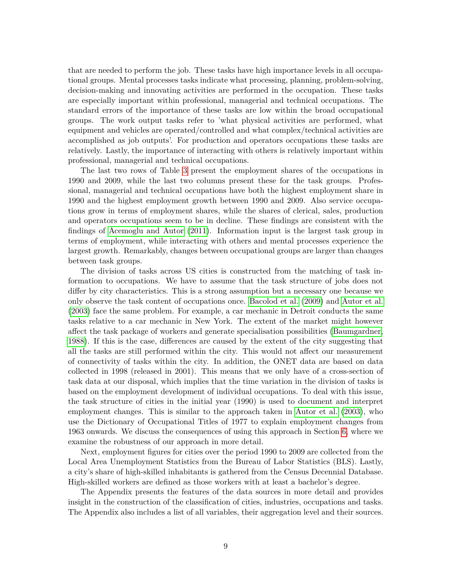that are needed to perform the job. These tasks have high importance levels in all occupational groups. Mental processes tasks indicate what processing, planning, problem-solving, decision-making and innovating activities are performed in the occupation. These tasks are especially important within professional, managerial and technical occupations. The standard errors of the importance of these tasks are low within the broad occupational groups. The work output tasks refer to 'what physical activities are performed, what equipment and vehicles are operated/controlled and what complex/technical activities are accomplished as job outputs'. For production and operators occupations these tasks are relatively. Lastly, the importance of interacting with others is relatively important within professional, managerial and technical occupations.

The last two rows of Table [3](#page-32-0) present the employment shares of the occupations in 1990 and 2009, while the last two columns present these for the task groups. Professional, managerial and technical occupations have both the highest employment share in 1990 and the highest employment growth between 1990 and 2009. Also service occupations grow in terms of employment shares, while the shares of clerical, sales, production and operators occupations seem to be in decline. These findings are consistent with the findings of [Acemoglu and Autor](#page-24-3) [\(2011\)](#page-24-3). Information input is the largest task group in terms of employment, while interacting with others and mental processes experience the largest growth. Remarkably, changes between occupational groups are larger than changes between task groups.

The division of tasks across US cities is constructed from the matching of task information to occupations. We have to assume that the task structure of jobs does not differ by city characteristics. This is a strong assumption but a necessary one because we only observe the task content of occupations once. [Bacolod et al.](#page-24-5) [\(2009\)](#page-24-5) and [Autor et al.](#page-24-0) [\(2003\)](#page-24-0) face the same problem. For example, a car mechanic in Detroit conducts the same tasks relative to a car mechanic in New York. The extent of the market might however affect the task package of workers and generate specialisation possibilities [\(Baumgardner,](#page-24-12) [1988\)](#page-24-12). If this is the case, differences are caused by the extent of the city suggesting that all the tasks are still performed within the city. This would not affect our measurement of connectivity of tasks within the city. In addition, the ONET data are based on data collected in 1998 (released in 2001). This means that we only have of a cross-section of task data at our disposal, which implies that the time variation in the division of tasks is based on the employment development of individual occupations. To deal with this issue, the task structure of cities in the initial year (1990) is used to document and interpret employment changes. This is similar to the approach taken in [Autor et al.](#page-24-0) [\(2003\)](#page-24-0), who use the Dictionary of Occupational Titles of 1977 to explain employment changes from 1963 onwards. We discuss the consequences of using this approach in Section [6,](#page-19-0) where we examine the robustness of our approach in more detail.

Next, employment figures for cities over the period 1990 to 2009 are collected from the Local Area Unemployment Statistics from the Bureau of Labor Statistics (BLS). Lastly, a city's share of high-skilled inhabitants is gathered from the Census Decennial Database. High-skilled workers are defined as those workers with at least a bachelor's degree.

The Appendix presents the features of the data sources in more detail and provides insight in the construction of the classification of cities, industries, occupations and tasks. The Appendix also includes a list of all variables, their aggregation level and their sources.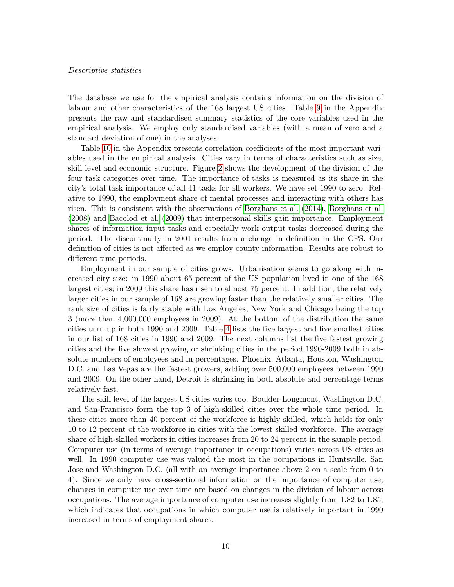#### *Descriptive statistics*

The database we use for the empirical analysis contains information on the division of labour and other characteristics of the 168 largest US cities. Table [9](#page-47-0) in the Appendix presents the raw and standardised summary statistics of the core variables used in the empirical analysis. We employ only standardised variables (with a mean of zero and a standard deviation of one) in the analyses.

Table [10](#page-48-0) in the Appendix presents correlation coefficients of the most important variables used in the empirical analysis. Cities vary in terms of characteristics such as size, skill level and economic structure. Figure [2](#page-38-0) shows the development of the division of the four task categories over time. The importance of tasks is measured as its share in the city's total task importance of all 41 tasks for all workers. We have set 1990 to zero. Relative to 1990, the employment share of mental processes and interacting with others has risen. This is consistent with the observations of [Borghans et al.](#page-25-11) [\(2014\)](#page-25-11), [Borghans et al.](#page-25-12) [\(2008\)](#page-25-12) and [Bacolod et al.](#page-24-5) [\(2009\)](#page-24-5) that interpersonal skills gain importance. Employment shares of information input tasks and especially work output tasks decreased during the period. The discontinuity in 2001 results from a change in definition in the CPS. Our definition of cities is not affected as we employ county information. Results are robust to different time periods.

Employment in our sample of cities grows. Urbanisation seems to go along with increased city size: in 1990 about 65 percent of the US population lived in one of the 168 largest cities; in 2009 this share has risen to almost 75 percent. In addition, the relatively larger cities in our sample of 168 are growing faster than the relatively smaller cities. The rank size of cities is fairly stable with Los Angeles, New York and Chicago being the top 3 (more than 4,000,000 employees in 2009). At the bottom of the distribution the same cities turn up in both 1990 and 2009. Table [4](#page-33-0) lists the five largest and five smallest cities in our list of 168 cities in 1990 and 2009. The next columns list the five fastest growing cities and the five slowest growing or shrinking cities in the period 1990-2009 both in absolute numbers of employees and in percentages. Phoenix, Atlanta, Houston, Washington D.C. and Las Vegas are the fastest growers, adding over 500,000 employees between 1990 and 2009. On the other hand, Detroit is shrinking in both absolute and percentage terms relatively fast.

The skill level of the largest US cities varies too. Boulder-Longmont, Washington D.C. and San-Francisco form the top 3 of high-skilled cities over the whole time period. In these cities more than 40 percent of the workforce is highly skilled, which holds for only 10 to 12 percent of the workforce in cities with the lowest skilled workforce. The average share of high-skilled workers in cities increases from 20 to 24 percent in the sample period. Computer use (in terms of average importance in occupations) varies across US cities as well. In 1990 computer use was valued the most in the occupations in Huntsville, San Jose and Washington D.C. (all with an average importance above 2 on a scale from 0 to 4). Since we only have cross-sectional information on the importance of computer use, changes in computer use over time are based on changes in the division of labour across occupations. The average importance of computer use increases slightly from 1.82 to 1.85, which indicates that occupations in which computer use is relatively important in 1990 increased in terms of employment shares.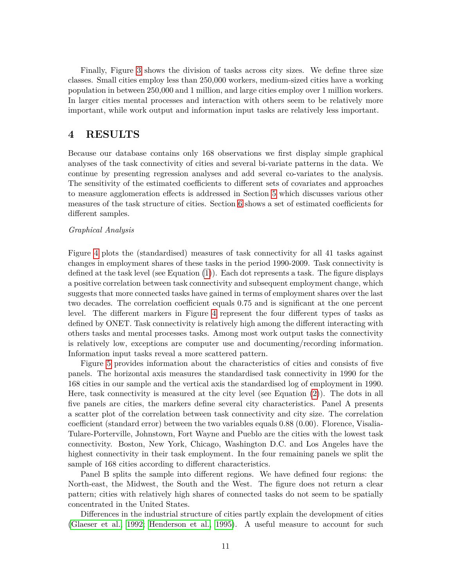Finally, Figure [3](#page-39-0) shows the division of tasks across city sizes. We define three size classes. Small cities employ less than 250,000 workers, medium-sized cities have a working population in between 250,000 and 1 million, and large cities employ over 1 million workers. In larger cities mental processes and interaction with others seem to be relatively more important, while work output and information input tasks are relatively less important.

## <span id="page-12-0"></span>**4 RESULTS**

Because our database contains only 168 observations we first display simple graphical analyses of the task connectivity of cities and several bi-variate patterns in the data. We continue by presenting regression analyses and add several co-variates to the analysis. The sensitivity of the estimated coefficients to different sets of covariates and approaches to measure agglomeration effects is addressed in Section [5](#page-17-0) which discusses various other measures of the task structure of cities. Section [6](#page-19-0) shows a set of estimated coefficients for different samples.

#### *Graphical Analysis*

Figure [4](#page-40-0) plots the (standardised) measures of task connectivity for all 41 tasks against changes in employment shares of these tasks in the period 1990-2009. Task connectivity is defined at the task level (see Equation [\(1\)](#page-7-0)). Each dot represents a task. The figure displays a positive correlation between task connectivity and subsequent employment change, which suggests that more connected tasks have gained in terms of employment shares over the last two decades. The correlation coefficient equals 0.75 and is significant at the one percent level. The different markers in Figure [4](#page-40-0) represent the four different types of tasks as defined by ONET. Task connectivity is relatively high among the different interacting with others tasks and mental processes tasks. Among most work output tasks the connectivity is relatively low, exceptions are computer use and documenting/recording information. Information input tasks reveal a more scattered pattern.

Figure [5](#page-41-0) provides information about the characteristics of cities and consists of five panels. The horizontal axis measures the standardised task connectivity in 1990 for the 168 cities in our sample and the vertical axis the standardised log of employment in 1990. Here, task connectivity is measured at the city level (see Equation [\(2\)](#page-8-0)). The dots in all five panels are cities, the markers define several city characteristics. Panel A presents a scatter plot of the correlation between task connectivity and city size. The correlation coefficient (standard error) between the two variables equals 0.88 (0.00). Florence, Visalia-Tulare-Porterville, Johnstown, Fort Wayne and Pueblo are the cities with the lowest task connectivity. Boston, New York, Chicago, Washington D.C. and Los Angeles have the highest connectivity in their task employment. In the four remaining panels we split the sample of 168 cities according to different characteristics.

Panel B splits the sample into different regions. We have defined four regions: the North-east, the Midwest, the South and the West. The figure does not return a clear pattern; cities with relatively high shares of connected tasks do not seem to be spatially concentrated in the United States.

Differences in the industrial structure of cities partly explain the development of cities [\(Glaeser et al., 1992;](#page-26-2) [Henderson et al., 1995\)](#page-27-6). A useful measure to account for such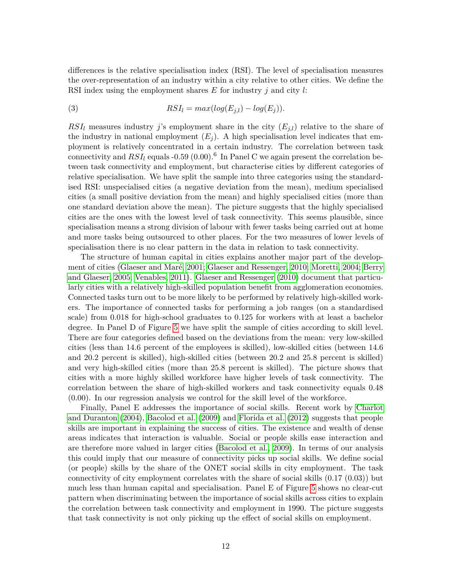differences is the relative specialisation index (RSI). The level of specialisation measures the over-representation of an industry within a city relative to other cities. We define the RSI index using the employment shares *E* for industry *j* and city *l*:

<span id="page-13-0"></span>(3) 
$$
RSI_l = max(log(E_{j,l}) - log(E_j)).
$$

 $RSI_l$  measures industry *j*'s employment share in the city  $(E_{j,l})$  relative to the share of the industry in national employment  $(E_j)$ . A high specialisation level indicates that employment is relatively concentrated in a certain industry. The correlation between task connectivity and  $RSI_l$  equals -0.59 (0.00).<sup>6</sup> In Panel C we again present the correlation between task connectivity and employment, but characterise cities by different categories of relative specialisation. We have split the sample into three categories using the standardised RSI: unspecialised cities (a negative deviation from the mean), medium specialised cities (a small positive deviation from the mean) and highly specialised cities (more than one standard deviation above the mean). The picture suggests that the highly specialised cities are the ones with the lowest level of task connectivity. This seems plausible, since specialisation means a strong division of labour with fewer tasks being carried out at home and more tasks being outsourced to other places. For the two measures of lower levels of specialisation there is no clear pattern in the data in relation to task connectivity.

The structure of human capital in cities explains another major part of the development of cities [\(Glaeser and Maré, 2001;](#page-26-0) [Glaeser and Ressenger, 2010;](#page-26-7) [Moretti, 2004;](#page-27-7) [Berry](#page-24-13) [and Glaeser, 2005;](#page-24-13) [Venables, 2011\)](#page-28-1). [Glaeser and Ressenger](#page-26-7) [\(2010\)](#page-26-7) document that particularly cities with a relatively high-skilled population benefit from agglomeration economies. Connected tasks turn out to be more likely to be performed by relatively high-skilled workers. The importance of connected tasks for performing a job ranges (on a standardised scale) from 0.018 for high-school graduates to 0.125 for workers with at least a bachelor degree. In Panel D of Figure [5](#page-41-0) we have split the sample of cities according to skill level. There are four categories defined based on the deviations from the mean: very low-skilled cities (less than 14.6 percent of the employees is skilled), low-skilled cities (between 14.6 and 20.2 percent is skilled), high-skilled cities (between 20.2 and 25.8 percent is skilled) and very high-skilled cities (more than 25.8 percent is skilled). The picture shows that cities with a more highly skilled workforce have higher levels of task connectivity. The correlation between the share of high-skilled workers and task connectivity equals 0.48 (0.00). In our regression analysis we control for the skill level of the workforce.

Finally, Panel E addresses the importance of social skills. Recent work by [Charlot](#page-25-7) [and Duranton](#page-25-7) [\(2004\)](#page-25-7), [Bacolod et al.](#page-24-5) [\(2009\)](#page-24-5) and [Florida et al.](#page-26-5) [\(2012\)](#page-26-5) suggests that people skills are important in explaining the success of cities. The existence and wealth of dense areas indicates that interaction is valuable. Social or people skills ease interaction and are therefore more valued in larger cities [\(Bacolod et al., 2009\)](#page-24-5). In terms of our analysis this could imply that our measure of connectivity picks up social skills. We define social (or people) skills by the share of the ONET social skills in city employment. The task connectivity of city employment correlates with the share of social skills (0.17 (0.03)) but much less than human capital and specialisation. Panel E of Figure [5](#page-41-0) shows no clear-cut pattern when discriminating between the importance of social skills across cities to explain the correlation between task connectivity and employment in 1990. The picture suggests that task connectivity is not only picking up the effect of social skills on employment.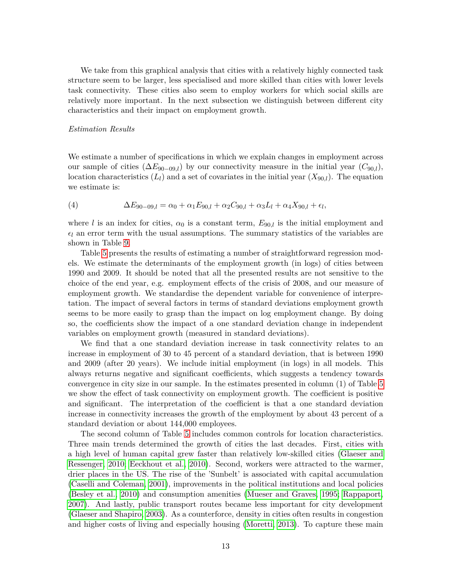We take from this graphical analysis that cities with a relatively highly connected task structure seem to be larger, less specialised and more skilled than cities with lower levels task connectivity. These cities also seem to employ workers for which social skills are relatively more important. In the next subsection we distinguish between different city characteristics and their impact on employment growth.

#### *Estimation Results*

We estimate a number of specifications in which we explain changes in employment across our sample of cities  $(\Delta E_{90-09,l})$  by our connectivity measure in the initial year  $(C_{90,l})$ , location characteristics  $(L_l)$  and a set of covariates in the initial year  $(X_{90,l})$ . The equation we estimate is:

(4) 
$$
\Delta E_{90-09,l} = \alpha_0 + \alpha_1 E_{90,l} + \alpha_2 C_{90,l} + \alpha_3 L_l + \alpha_4 X_{90,l} + \epsilon_l,
$$

where *l* is an index for cities,  $\alpha_0$  is a constant term,  $E_{90,l}$  is the initial employment and  $\epsilon_l$  an error term with the usual assumptions. The summary statistics of the variables are shown in Table [9.](#page-47-0)

Table [5](#page-34-0) presents the results of estimating a number of straightforward regression models. We estimate the determinants of the employment growth (in logs) of cities between 1990 and 2009. It should be noted that all the presented results are not sensitive to the choice of the end year, e.g. employment effects of the crisis of 2008, and our measure of employment growth. We standardise the dependent variable for convenience of interpretation. The impact of several factors in terms of standard deviations employment growth seems to be more easily to grasp than the impact on log employment change. By doing so, the coefficients show the impact of a one standard deviation change in independent variables on employment growth (measured in standard deviations).

We find that a one standard deviation increase in task connectivity relates to an increase in employment of 30 to 45 percent of a standard deviation, that is between 1990 and 2009 (after 20 years). We include initial employment (in logs) in all models. This always returns negative and significant coefficients, which suggests a tendency towards convergence in city size in our sample. In the estimates presented in column (1) of Table [5](#page-34-0) we show the effect of task connectivity on employment growth. The coefficient is positive and significant. The interpretation of the coefficient is that a one standard deviation increase in connectivity increases the growth of the employment by about 43 percent of a standard deviation or about 144,000 employees.

The second column of Table [5](#page-34-0) includes common controls for location characteristics. Three main trends determined the growth of cities the last decades. First, cities with a high level of human capital grew faster than relatively low-skilled cities [\(Glaeser and](#page-26-7) [Ressenger, 2010;](#page-26-7) [Eeckhout et al., 2010\)](#page-26-10). Second, workers were attracted to the warmer, drier places in the US. The rise of the 'Sunbelt' is associated with capital accumulation [\(Caselli and Coleman, 2001\)](#page-25-13), improvements in the political institutions and local policies [\(Besley et al., 2010\)](#page-24-14) and consumption amenities [\(Mueser and Graves, 1995;](#page-27-8) [Rappaport,](#page-27-9) [2007\)](#page-27-9). And lastly, public transport routes became less important for city development [\(Glaeser and Shapiro, 2003\)](#page-26-11). As a counterforce, density in cities often results in congestion and higher costs of living and especially housing [\(Moretti, 2013\)](#page-27-10). To capture these main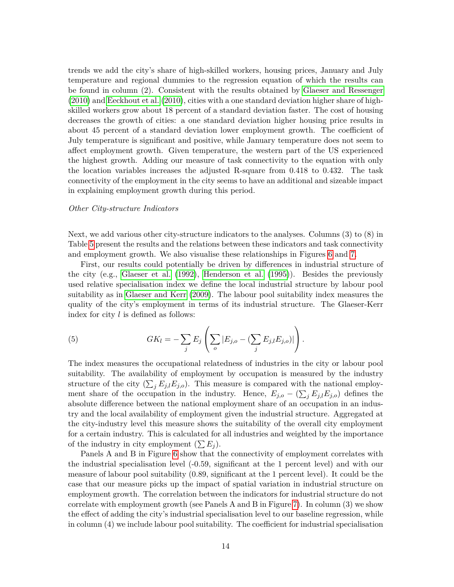trends we add the city's share of high-skilled workers, housing prices, January and July temperature and regional dummies to the regression equation of which the results can be found in column (2). Consistent with the results obtained by [Glaeser and Ressenger](#page-26-7) [\(2010\)](#page-26-7) and [Eeckhout et al.](#page-26-10) [\(2010\)](#page-26-10), cities with a one standard deviation higher share of highskilled workers grow about 18 percent of a standard deviation faster. The cost of housing decreases the growth of cities: a one standard deviation higher housing price results in about 45 percent of a standard deviation lower employment growth. The coefficient of July temperature is significant and positive, while January temperature does not seem to affect employment growth. Given temperature, the western part of the US experienced the highest growth. Adding our measure of task connectivity to the equation with only the location variables increases the adjusted R-square from 0.418 to 0.432. The task connectivity of the employment in the city seems to have an additional and sizeable impact in explaining employment growth during this period.

#### *Other City-structure Indicators*

Next, we add various other city-structure indicators to the analyses. Columns (3) to (8) in Table [5](#page-34-0) present the results and the relations between these indicators and task connectivity and employment growth. We also visualise these relationships in Figures [6](#page-42-0) and [7.](#page-43-0)

First, our results could potentially be driven by differences in industrial structure of the city (e.g., [Glaeser et al.](#page-26-2) [\(1992\)](#page-26-2), [Henderson et al.](#page-27-6) [\(1995\)](#page-27-6)). Besides the previously used relative specialisation index we define the local industrial structure by labour pool suitability as in [Glaeser and Kerr](#page-26-3) [\(2009\)](#page-26-3). The labour pool suitability index measures the quality of the city's employment in terms of its industrial structure. The Glaeser-Kerr index for city *l* is defined as follows:

<span id="page-15-0"></span>(5) 
$$
GK_l = -\sum_j E_j \left( \sum_o |E_{j,o} - (\sum_j E_{j,l} E_{j,o})| \right).
$$

The index measures the occupational relatedness of industries in the city or labour pool suitability. The availability of employment by occupation is measured by the industry structure of the city  $(\sum_j E_{j,l}E_{j,o})$ . This measure is compared with the national employment share of the occupation in the industry. Hence,  $E_{j,o} - (\sum_j E_{j,l} E_{j,o})$  defines the absolute difference between the national employment share of an occupation in an industry and the local availability of employment given the industrial structure. Aggregated at the city-industry level this measure shows the suitability of the overall city employment for a certain industry. This is calculated for all industries and weighted by the importance of the industry in city employment  $(\sum E_i)$ .

Panels A and B in Figure [6](#page-42-0) show that the connectivity of employment correlates with the industrial specialisation level (-0.59, significant at the 1 percent level) and with our measure of labour pool suitability (0.89, significant at the 1 percent level). It could be the case that our measure picks up the impact of spatial variation in industrial structure on employment growth. The correlation between the indicators for industrial structure do not correlate with employment growth (see Panels A and B in Figure [7\)](#page-43-0). In column (3) we show the effect of adding the city's industrial specialisation level to our baseline regression, while in column (4) we include labour pool suitability. The coefficient for industrial specialisation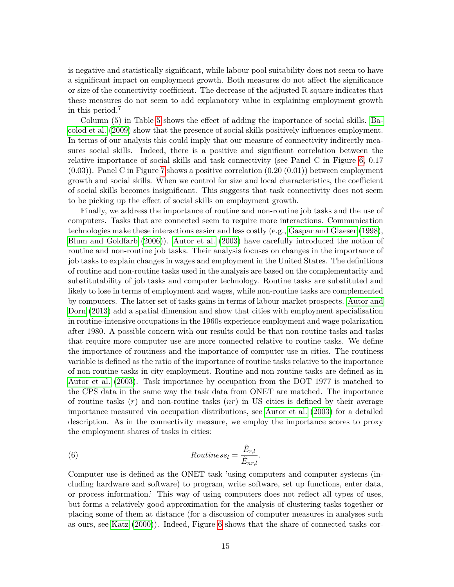is negative and statistically significant, while labour pool suitability does not seem to have a significant impact on employment growth. Both measures do not affect the significance or size of the connectivity coefficient. The decrease of the adjusted R-square indicates that these measures do not seem to add explanatory value in explaining employment growth in this period.<sup>7</sup>

Column (5) in Table [5](#page-34-0) shows the effect of adding the importance of social skills. [Ba](#page-24-5)[colod et al.](#page-24-5) [\(2009\)](#page-24-5) show that the presence of social skills positively influences employment. In terms of our analysis this could imply that our measure of connectivity indirectly measures social skills. Indeed, there is a positive and significant correlation between the relative importance of social skills and task connectivity (see Panel C in Figure [6,](#page-42-0) 0.17  $(0.03)$ . Panel C in Figure [7](#page-43-0) shows a positive correlation  $(0.20 (0.01))$  between employment growth and social skills. When we control for size and local characteristics, the coefficient of social skills becomes insignificant. This suggests that task connectivity does not seem to be picking up the effect of social skills on employment growth.

Finally, we address the importance of routine and non-routine job tasks and the use of computers. Tasks that are connected seem to require more interactions. Communication technologies make these interactions easier and less costly (e.g., [Gaspar and Glaeser](#page-26-8) [\(1998\)](#page-26-8), [Blum and Goldfarb](#page-25-10) [\(2006\)](#page-25-10)). [Autor et al.](#page-24-0) [\(2003\)](#page-24-0) have carefully introduced the notion of routine and non-routine job tasks. Their analysis focuses on changes in the importance of job tasks to explain changes in wages and employment in the United States. The definitions of routine and non-routine tasks used in the analysis are based on the complementarity and substitutability of job tasks and computer technology. Routine tasks are substituted and likely to lose in terms of employment and wages, while non-routine tasks are complemented by computers. The latter set of tasks gains in terms of labour-market prospects. [Autor and](#page-24-9) [Dorn](#page-24-9) [\(2013\)](#page-24-9) add a spatial dimension and show that cities with employment specialisation in routine-intensive occupations in the 1960s experience employment and wage polarization after 1980. A possible concern with our results could be that non-routine tasks and tasks that require more computer use are more connected relative to routine tasks. We define the importance of routiness and the importance of computer use in cities. The routiness variable is defined as the ratio of the importance of routine tasks relative to the importance of non-routine tasks in city employment. Routine and non-routine tasks are defined as in [Autor et al.](#page-24-0) [\(2003\)](#page-24-0). Task importance by occupation from the DOT 1977 is matched to the CPS data in the same way the task data from ONET are matched. The importance of routine tasks (*r*) and non-routine tasks (*nr*) in US cities is defined by their average importance measured via occupation distributions, see [Autor et al.](#page-24-0) [\(2003\)](#page-24-0) for a detailed description. As in the connectivity measure, we employ the importance scores to proxy the employment shares of tasks in cities:

(6) 
$$
Routines_{l} = \frac{\tilde{E}_{r,l}}{\tilde{E}_{nr,l}}.
$$

Computer use is defined as the ONET task 'using computers and computer systems (including hardware and software) to program, write software, set up functions, enter data, or process information.' This way of using computers does not reflect all types of uses, but forms a relatively good approximation for the analysis of clustering tasks together or placing some of them at distance (for a discussion of computer measures in analyses such as ours, see [Katz](#page-27-11) [\(2000\)](#page-27-11)). Indeed, Figure [6](#page-42-0) shows that the share of connected tasks cor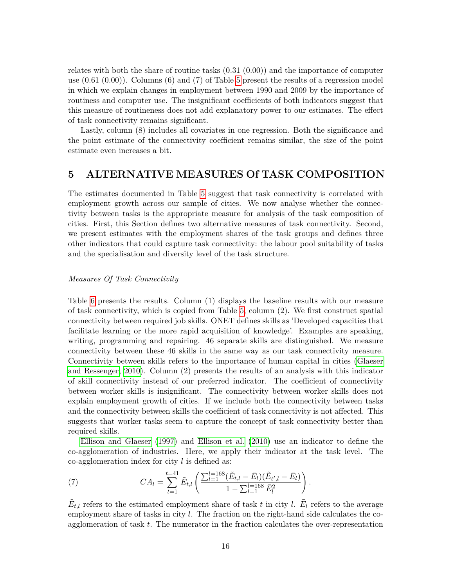relates with both the share of routine tasks  $(0.31, (0.00))$  and the importance of computer use  $(0.61, (0.00))$ . Columns  $(6)$  and  $(7)$  of Table [5](#page-34-0) present the results of a regression model in which we explain changes in employment between 1990 and 2009 by the importance of routiness and computer use. The insignificant coefficients of both indicators suggest that this measure of routineness does not add explanatory power to our estimates. The effect of task connectivity remains significant.

Lastly, column (8) includes all covariates in one regression. Both the significance and the point estimate of the connectivity coefficient remains similar, the size of the point estimate even increases a bit.

### <span id="page-17-0"></span>**5 ALTERNATIVE MEASURES Of TASK COMPOSITION**

The estimates documented in Table [5](#page-34-0) suggest that task connectivity is correlated with employment growth across our sample of cities. We now analyse whether the connectivity between tasks is the appropriate measure for analysis of the task composition of cities. First, this Section defines two alternative measures of task connectivity. Second, we present estimates with the employment shares of the task groups and defines three other indicators that could capture task connectivity: the labour pool suitability of tasks and the specialisation and diversity level of the task structure.

#### *Measures Of Task Connectivity*

Table [6](#page-35-0) presents the results. Column (1) displays the baseline results with our measure of task connectivity, which is copied from Table [5,](#page-34-0) column (2). We first construct spatial connectivity between required job skills. ONET defines skills as 'Developed capacities that facilitate learning or the more rapid acquisition of knowledge'. Examples are speaking, writing, programming and repairing. 46 separate skills are distinguished. We measure connectivity between these 46 skills in the same way as our task connectivity measure. Connectivity between skills refers to the importance of human capital in cities [\(Glaeser](#page-26-7) [and Ressenger, 2010\)](#page-26-7). Column (2) presents the results of an analysis with this indicator of skill connectivity instead of our preferred indicator. The coefficient of connectivity between worker skills is insignificant. The connectivity between worker skills does not explain employment growth of cities. If we include both the connectivity between tasks and the connectivity between skills the coefficient of task connectivity is not affected. This suggests that worker tasks seem to capture the concept of task connectivity better than required skills.

[Ellison and Glaeser](#page-26-1) [\(1997\)](#page-26-1) and [Ellison et al.](#page-26-9) [\(2010\)](#page-26-9) use an indicator to define the co-agglomeration of industries. Here, we apply their indicator at the task level. The co-agglomeration index for city *l* is defined as:

<span id="page-17-1"></span>(7) 
$$
CA_{l} = \sum_{t=1}^{t=41} \tilde{E}_{t,l} \left( \frac{\sum_{l=1}^{l=168} (\tilde{E}_{t,l} - \bar{E}_{l})(\tilde{E}_{t',l} - \bar{E}_{l})}{1 - \sum_{l=1}^{l=168} \bar{E}_{l}^{2}} \right).
$$

 $\tilde{E}_{t,l}$  refers to the estimated employment share of task *t* in city *l*.  $\bar{E}_l$  refers to the average employment share of tasks in city *l*. The fraction on the right-hand side calculates the coagglomeration of task *t*. The numerator in the fraction calculates the over-representation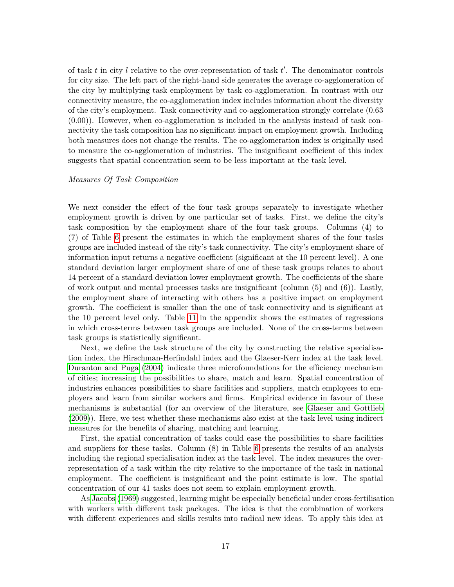of task  $t$  in city  $l$  relative to the over-representation of task  $t'$ . The denominator controls for city size. The left part of the right-hand side generates the average co-agglomeration of the city by multiplying task employment by task co-agglomeration. In contrast with our connectivity measure, the co-agglomeration index includes information about the diversity of the city's employment. Task connectivity and co-agglomeration strongly correlate (0.63 (0.00)). However, when co-agglomeration is included in the analysis instead of task connectivity the task composition has no significant impact on employment growth. Including both measures does not change the results. The co-agglomeration index is originally used to measure the co-agglomeration of industries. The insignificant coefficient of this index suggests that spatial concentration seem to be less important at the task level.

#### *Measures Of Task Composition*

We next consider the effect of the four task groups separately to investigate whether employment growth is driven by one particular set of tasks. First, we define the city's task composition by the employment share of the four task groups. Columns (4) to (7) of Table [6](#page-35-0) present the estimates in which the employment shares of the four tasks groups are included instead of the city's task connectivity. The city's employment share of information input returns a negative coefficient (significant at the 10 percent level). A one standard deviation larger employment share of one of these task groups relates to about 14 percent of a standard deviation lower employment growth. The coefficients of the share of work output and mental processes tasks are insignificant (column  $(5)$  and  $(6)$ ). Lastly, the employment share of interacting with others has a positive impact on employment growth. The coefficient is smaller than the one of task connectivity and is significant at the 10 percent level only. Table [11](#page-49-0) in the appendix shows the estimates of regressions in which cross-terms between task groups are included. None of the cross-terms between task groups is statistically significant.

Next, we define the task structure of the city by constructing the relative specialisation index, the Hirschman-Herfindahl index and the Glaeser-Kerr index at the task level. [Duranton and Puga](#page-25-9) [\(2004\)](#page-25-9) indicate three microfoundations for the efficiency mechanism of cities; increasing the possibilities to share, match and learn. Spatial concentration of industries enhances possibilities to share facilities and suppliers, match employees to employers and learn from similar workers and firms. Empirical evidence in favour of these mechanisms is substantial (for an overview of the literature, see [Glaeser and Gottlieb](#page-26-12) [\(2009\)](#page-26-12)). Here, we test whether these mechanisms also exist at the task level using indirect measures for the benefits of sharing, matching and learning.

First, the spatial concentration of tasks could ease the possibilities to share facilities and suppliers for these tasks. Column (8) in Table [6](#page-35-0) presents the results of an analysis including the regional specialisation index at the task level. The index measures the overrepresentation of a task within the city relative to the importance of the task in national employment. The coefficient is insignificant and the point estimate is low. The spatial concentration of our 41 tasks does not seem to explain employment growth.

As [Jacobs](#page-27-12) [\(1969\)](#page-27-12) suggested, learning might be especially beneficial under cross-fertilisation with workers with different task packages. The idea is that the combination of workers with different experiences and skills results into radical new ideas. To apply this idea at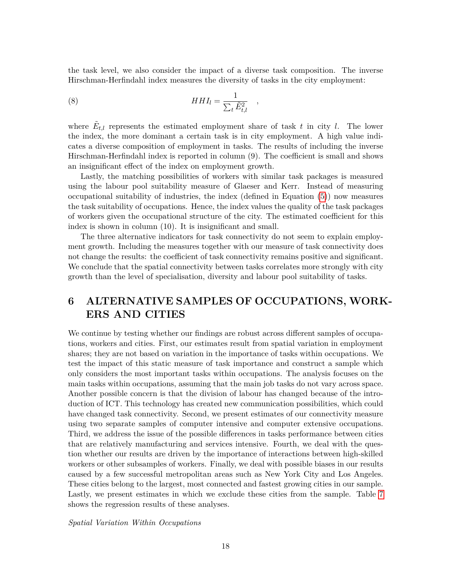the task level, we also consider the impact of a diverse task composition. The inverse Hirschman-Herfindahl index measures the diversity of tasks in the city employment:

<span id="page-19-1"></span>(8) 
$$
HHI_l = \frac{1}{\sum_t \tilde{E}_{t,l}^2} ,
$$

where  $\tilde{E}_{t,l}$  represents the estimated employment share of task t in city l. The lower the index, the more dominant a certain task is in city employment. A high value indicates a diverse composition of employment in tasks. The results of including the inverse Hirschman-Herfindahl index is reported in column (9). The coefficient is small and shows an insignificant effect of the index on employment growth.

Lastly, the matching possibilities of workers with similar task packages is measured using the labour pool suitability measure of Glaeser and Kerr. Instead of measuring occupational suitability of industries, the index (defined in Equation [\(5\)](#page-15-0)) now measures the task suitability of occupations. Hence, the index values the quality of the task packages of workers given the occupational structure of the city. The estimated coefficient for this index is shown in column (10). It is insignificant and small.

The three alternative indicators for task connectivity do not seem to explain employment growth. Including the measures together with our measure of task connectivity does not change the results: the coefficient of task connectivity remains positive and significant. We conclude that the spatial connectivity between tasks correlates more strongly with city growth than the level of specialisation, diversity and labour pool suitability of tasks.

## <span id="page-19-0"></span>**6 ALTERNATIVE SAMPLES OF OCCUPATIONS, WORK-ERS AND CITIES**

We continue by testing whether our findings are robust across different samples of occupations, workers and cities. First, our estimates result from spatial variation in employment shares; they are not based on variation in the importance of tasks within occupations. We test the impact of this static measure of task importance and construct a sample which only considers the most important tasks within occupations. The analysis focuses on the main tasks within occupations, assuming that the main job tasks do not vary across space. Another possible concern is that the division of labour has changed because of the introduction of ICT. This technology has created new communication possibilities, which could have changed task connectivity. Second, we present estimates of our connectivity measure using two separate samples of computer intensive and computer extensive occupations. Third, we address the issue of the possible differences in tasks performance between cities that are relatively manufacturing and services intensive. Fourth, we deal with the question whether our results are driven by the importance of interactions between high-skilled workers or other subsamples of workers. Finally, we deal with possible biases in our results caused by a few successful metropolitan areas such as New York City and Los Angeles. These cities belong to the largest, most connected and fastest growing cities in our sample. Lastly, we present estimates in which we exclude these cities from the sample. Table [7](#page-36-0) shows the regression results of these analyses.

*Spatial Variation Within Occupations*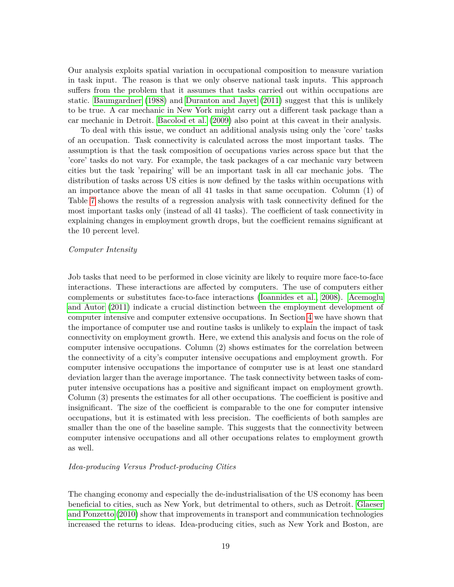Our analysis exploits spatial variation in occupational composition to measure variation in task input. The reason is that we only observe national task inputs. This approach suffers from the problem that it assumes that tasks carried out within occupations are static. [Baumgardner](#page-24-12) [\(1988\)](#page-24-12) and [Duranton and Jayet](#page-25-6) [\(2011\)](#page-25-6) suggest that this is unlikely to be true. A car mechanic in New York might carry out a different task package than a car mechanic in Detroit. [Bacolod et al.](#page-24-5) [\(2009\)](#page-24-5) also point at this caveat in their analysis.

To deal with this issue, we conduct an additional analysis using only the 'core' tasks of an occupation. Task connectivity is calculated across the most important tasks. The assumption is that the task composition of occupations varies across space but that the 'core' tasks do not vary. For example, the task packages of a car mechanic vary between cities but the task 'repairing' will be an important task in all car mechanic jobs. The distribution of tasks across US cities is now defined by the tasks within occupations with an importance above the mean of all 41 tasks in that same occupation. Column (1) of Table [7](#page-36-0) shows the results of a regression analysis with task connectivity defined for the most important tasks only (instead of all 41 tasks). The coefficient of task connectivity in explaining changes in employment growth drops, but the coefficient remains significant at the 10 percent level.

#### *Computer Intensity*

Job tasks that need to be performed in close vicinity are likely to require more face-to-face interactions. These interactions are affected by computers. The use of computers either complements or substitutes face-to-face interactions [\(Ioannides et al., 2008\)](#page-27-13). [Acemoglu](#page-24-3) [and Autor](#page-24-3) [\(2011\)](#page-24-3) indicate a crucial distinction between the employment development of computer intensive and computer extensive occupations. In Section [4](#page-12-0) we have shown that the importance of computer use and routine tasks is unlikely to explain the impact of task connectivity on employment growth. Here, we extend this analysis and focus on the role of computer intensive occupations. Column (2) shows estimates for the correlation between the connectivity of a city's computer intensive occupations and employment growth. For computer intensive occupations the importance of computer use is at least one standard deviation larger than the average importance. The task connectivity between tasks of computer intensive occupations has a positive and significant impact on employment growth. Column (3) presents the estimates for all other occupations. The coefficient is positive and insignificant. The size of the coefficient is comparable to the one for computer intensive occupations, but it is estimated with less precision. The coefficients of both samples are smaller than the one of the baseline sample. This suggests that the connectivity between computer intensive occupations and all other occupations relates to employment growth as well.

#### *Idea-producing Versus Product-producing Cities*

The changing economy and especially the de-industrialisation of the US economy has been beneficial to cities, such as New York, but detrimental to others, such as Detroit. [Glaeser](#page-26-13) [and Ponzetto](#page-26-13) [\(2010\)](#page-26-13) show that improvements in transport and communication technologies increased the returns to ideas. Idea-producing cities, such as New York and Boston, are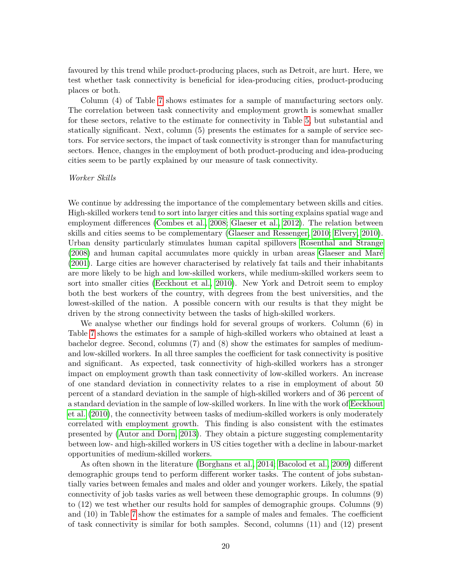favoured by this trend while product-producing places, such as Detroit, are hurt. Here, we test whether task connectivity is beneficial for idea-producing cities, product-producing places or both.

Column (4) of Table [7](#page-36-0) shows estimates for a sample of manufacturing sectors only. The correlation between task connectivity and employment growth is somewhat smaller for these sectors, relative to the estimate for connectivity in Table [5,](#page-34-0) but substantial and statically significant. Next, column (5) presents the estimates for a sample of service sectors. For service sectors, the impact of task connectivity is stronger than for manufacturing sectors. Hence, changes in the employment of both product-producing and idea-producing cities seem to be partly explained by our measure of task connectivity.

#### *Worker Skills*

We continue by addressing the importance of the complementary between skills and cities. High-skilled workers tend to sort into larger cities and this sorting explains spatial wage and employment differences [\(Combes et al., 2008;](#page-25-14) [Glaeser et al., 2012\)](#page-26-14). The relation between skills and cities seems to be complementary [\(Glaeser and Ressenger, 2010;](#page-26-7) [Elvery, 2010\)](#page-26-15). Urban density particularly stimulates human capital spillovers [Rosenthal and Strange](#page-27-14) [\(2008\)](#page-27-14) and human capital accumulates more quickly in urban areas [Glaeser and Maré](#page-26-0) [\(2001\)](#page-26-0). Large cities are however characterised by relatively fat tails and their inhabitants are more likely to be high and low-skilled workers, while medium-skilled workers seem to sort into smaller cities [\(Eeckhout et al., 2010\)](#page-26-10). New York and Detroit seem to employ both the best workers of the country, with degrees from the best universities, and the lowest-skilled of the nation. A possible concern with our results is that they might be driven by the strong connectivity between the tasks of high-skilled workers.

We analyse whether our findings hold for several groups of workers. Column (6) in Table [7](#page-36-0) shows the estimates for a sample of high-skilled workers who obtained at least a bachelor degree. Second, columns (7) and (8) show the estimates for samples of mediumand low-skilled workers. In all three samples the coefficient for task connectivity is positive and significant. As expected, task connectivity of high-skilled workers has a stronger impact on employment growth than task connectivity of low-skilled workers. An increase of one standard deviation in connectivity relates to a rise in employment of about 50 percent of a standard deviation in the sample of high-skilled workers and of 36 percent of a standard deviation in the sample of low-skilled workers. In line with the work of [Eeckhout](#page-26-10) [et al.](#page-26-10) [\(2010\)](#page-26-10), the connectivity between tasks of medium-skilled workers is only moderately correlated with employment growth. This finding is also consistent with the estimates presented by [\(Autor and Dorn, 2013\)](#page-24-9). They obtain a picture suggesting complementarity between low- and high-skilled workers in US cities together with a decline in labour-market opportunities of medium-skilled workers.

As often shown in the literature [\(Borghans et al., 2014;](#page-25-11) [Bacolod et al., 2009\)](#page-24-5) different demographic groups tend to perform different worker tasks. The content of jobs substantially varies between females and males and older and younger workers. Likely, the spatial connectivity of job tasks varies as well between these demographic groups. In columns (9) to (12) we test whether our results hold for samples of demographic groups. Columns (9) and (10) in Table [7](#page-36-0) show the estimates for a sample of males and females. The coefficient of task connectivity is similar for both samples. Second, columns (11) and (12) present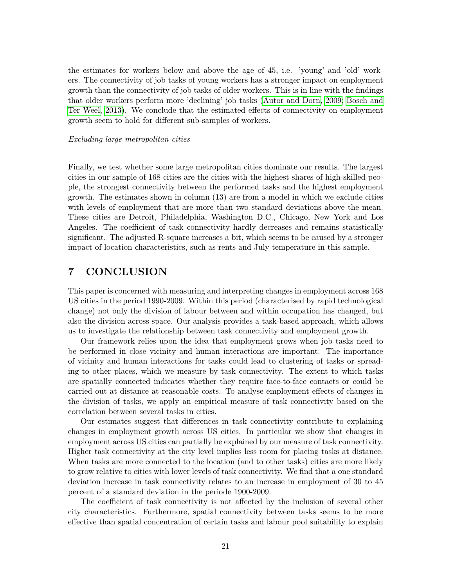the estimates for workers below and above the age of 45, i.e. 'young' and 'old' workers. The connectivity of job tasks of young workers has a stronger impact on employment growth than the connectivity of job tasks of older workers. This is in line with the findings that older workers perform more 'declining' job tasks [\(Autor and Dorn, 2009;](#page-24-15) [Bosch and](#page-25-15) [Ter Weel, 2013\)](#page-25-15). We conclude that the estimated effects of connectivity on employment growth seem to hold for different sub-samples of workers.

#### *Excluding large metropolitan cities*

Finally, we test whether some large metropolitan cities dominate our results. The largest cities in our sample of 168 cities are the cities with the highest shares of high-skilled people, the strongest connectivity between the performed tasks and the highest employment growth. The estimates shown in column (13) are from a model in which we exclude cities with levels of employment that are more than two standard deviations above the mean. These cities are Detroit, Philadelphia, Washington D.C., Chicago, New York and Los Angeles. The coefficient of task connectivity hardly decreases and remains statistically significant. The adjusted R-square increases a bit, which seems to be caused by a stronger impact of location characteristics, such as rents and July temperature in this sample.

## <span id="page-22-0"></span>**7 CONCLUSION**

This paper is concerned with measuring and interpreting changes in employment across 168 US cities in the period 1990-2009. Within this period (characterised by rapid technological change) not only the division of labour between and within occupation has changed, but also the division across space. Our analysis provides a task-based approach, which allows us to investigate the relationship between task connectivity and employment growth.

Our framework relies upon the idea that employment grows when job tasks need to be performed in close vicinity and human interactions are important. The importance of vicinity and human interactions for tasks could lead to clustering of tasks or spreading to other places, which we measure by task connectivity. The extent to which tasks are spatially connected indicates whether they require face-to-face contacts or could be carried out at distance at reasonable costs. To analyse employment effects of changes in the division of tasks, we apply an empirical measure of task connectivity based on the correlation between several tasks in cities.

Our estimates suggest that differences in task connectivity contribute to explaining changes in employment growth across US cities. In particular we show that changes in employment across US cities can partially be explained by our measure of task connectivity. Higher task connectivity at the city level implies less room for placing tasks at distance. When tasks are more connected to the location (and to other tasks) cities are more likely to grow relative to cities with lower levels of task connectivity. We find that a one standard deviation increase in task connectivity relates to an increase in employment of 30 to 45 percent of a standard deviation in the periode 1900-2009.

The coefficient of task connectivity is not affected by the inclusion of several other city characteristics. Furthermore, spatial connectivity between tasks seems to be more effective than spatial concentration of certain tasks and labour pool suitability to explain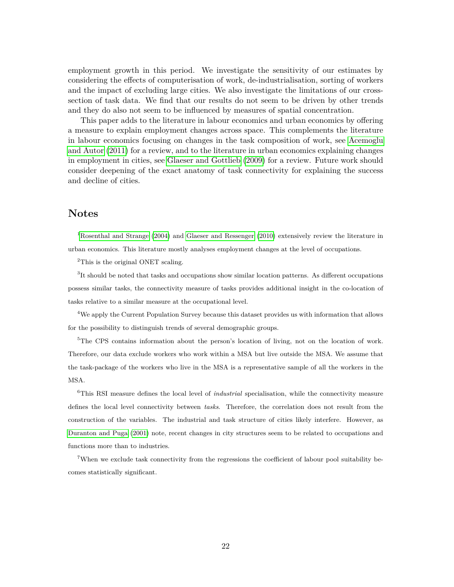employment growth in this period. We investigate the sensitivity of our estimates by considering the effects of computerisation of work, de-industrialisation, sorting of workers and the impact of excluding large cities. We also investigate the limitations of our crosssection of task data. We find that our results do not seem to be driven by other trends and they do also not seem to be influenced by measures of spatial concentration.

This paper adds to the literature in labour economics and urban economics by offering a measure to explain employment changes across space. This complements the literature in labour economics focusing on changes in the task composition of work, see [Acemoglu](#page-24-3) [and Autor](#page-24-3) [\(2011\)](#page-24-3) for a review, and to the literature in urban economics explaining changes in employment in cities, see [Glaeser and Gottlieb](#page-26-12) [\(2009\)](#page-26-12) for a review. Future work should consider deepening of the exact anatomy of task connectivity for explaining the success and decline of cities.

### **Notes**

<sup>1</sup>[Rosenthal and Strange](#page-27-15) [\(2004\)](#page-27-15) and [Glaeser and Ressenger](#page-26-7) [\(2010\)](#page-26-7) extensively review the literature in urban economics. This literature mostly analyses employment changes at the level of occupations.

<sup>2</sup>This is the original ONET scaling.

<sup>3</sup>It should be noted that tasks and occupations show similar location patterns. As different occupations possess similar tasks, the connectivity measure of tasks provides additional insight in the co-location of tasks relative to a similar measure at the occupational level.

<sup>4</sup>We apply the Current Population Survey because this dataset provides us with information that allows for the possibility to distinguish trends of several demographic groups.

 ${}^{5}$ The CPS contains information about the person's location of living, not on the location of work. Therefore, our data exclude workers who work within a MSA but live outside the MSA. We assume that the task-package of the workers who live in the MSA is a representative sample of all the workers in the MSA.

<sup>6</sup>This RSI measure defines the local level of *industrial* specialisation, while the connectivity measure defines the local level connectivity between *tasks*. Therefore, the correlation does not result from the construction of the variables. The industrial and task structure of cities likely interfere. However, as [Duranton and Puga](#page-25-1) [\(2001\)](#page-25-1) note, recent changes in city structures seem to be related to occupations and functions more than to industries.

<sup>7</sup>When we exclude task connectivity from the regressions the coefficient of labour pool suitability becomes statistically significant.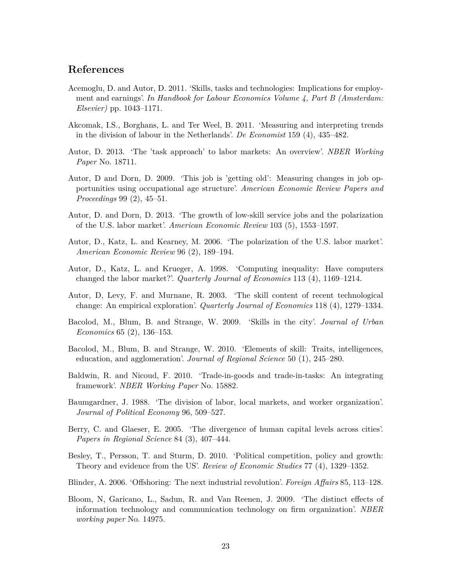## **References**

- <span id="page-24-3"></span>Acemoglu, D. and Autor, D. 2011. 'Skills, tasks and technologies: Implications for employment and earnings'. *In Handbook for Labour Economics Volume 4, Part B (Amsterdam: Elsevier)* pp. 1043–1171.
- <span id="page-24-10"></span>Akcomak, I.S., Borghans, L. and Ter Weel, B. 2011. 'Measuring and interpreting trends in the division of labour in the Netherlands'. *De Economist* 159 (4), 435–482.
- <span id="page-24-4"></span>Autor, D. 2013. 'The 'task approach' to labor markets: An overview'. *NBER Working Paper* No. 18711.
- <span id="page-24-15"></span>Autor, D and Dorn, D. 2009. 'This job is 'getting old': Measuring changes in job opportunities using occupational age structure'. *American Economic Review Papers and Proceedings* 99 (2), 45–51.
- <span id="page-24-9"></span>Autor, D. and Dorn, D. 2013. 'The growth of low-skill service jobs and the polarization of the U.S. labor market'. *American Economic Review* 103 (5), 1553–1597.
- <span id="page-24-6"></span>Autor, D., Katz, L. and Kearney, M. 2006. 'The polarization of the U.S. labor market'. *American Economic Review* 96 (2), 189–194.
- <span id="page-24-11"></span>Autor, D., Katz, L. and Krueger, A. 1998. 'Computing inequality: Have computers changed the labor market?'. *Quarterly Journal of Economics* 113 (4), 1169–1214.
- <span id="page-24-0"></span>Autor, D, Levy, F. and Murnane, R. 2003. 'The skill content of recent technological change: An empirical exploration'. *Quarterly Journal of Economics* 118 (4), 1279–1334.
- <span id="page-24-5"></span>Bacolod, M., Blum, B. and Strange, W. 2009. 'Skills in the city'. *Journal of Urban Economics* 65 (2), 136–153.
- <span id="page-24-8"></span>Bacolod, M., Blum, B. and Strange, W. 2010. 'Elements of skill: Traits, intelligences, education, and agglomeration'. *Journal of Regional Science* 50 (1), 245–280.
- <span id="page-24-2"></span>Baldwin, R. and Nicoud, F. 2010. 'Trade-in-goods and trade-in-tasks: An integrating framework'. *NBER Working Paper* No. 15882.
- <span id="page-24-12"></span>Baumgardner, J. 1988. 'The division of labor, local markets, and worker organization'. *Journal of Political Economy* 96, 509–527.
- <span id="page-24-13"></span>Berry, C. and Glaeser, E. 2005. 'The divergence of human capital levels across cities'. *Papers in Regional Science* 84 (3), 407–444.
- <span id="page-24-14"></span>Besley, T., Persson, T. and Sturm, D. 2010. 'Political competition, policy and growth: Theory and evidence from the US'. *Review of Economic Studies* 77 (4), 1329–1352.
- <span id="page-24-7"></span>Blinder, A. 2006. 'Offshoring: The next industrial revolution'. *Foreign Affairs* 85, 113–128.
- <span id="page-24-1"></span>Bloom, N, Garicano, L., Sadun, R. and Van Reenen, J. 2009. 'The distinct effects of information technology and communication technology on firm organization'. *NBER working paper* No. 14975.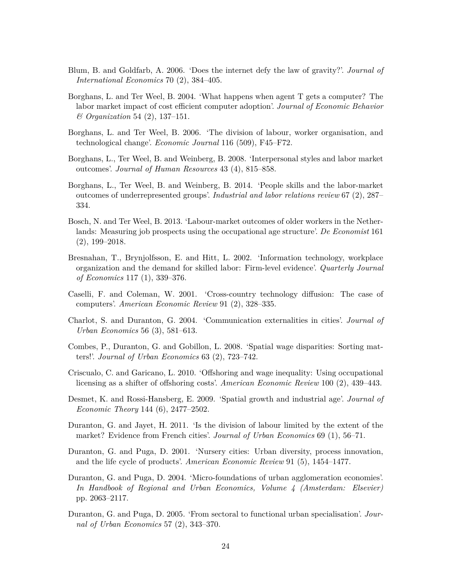- <span id="page-25-10"></span>Blum, B. and Goldfarb, A. 2006. 'Does the internet defy the law of gravity?'. *Journal of International Economics* 70 (2), 384–405.
- <span id="page-25-8"></span>Borghans, L. and Ter Weel, B. 2004. 'What happens when agent T gets a computer? The labor market impact of cost efficient computer adoption'. *Journal of Economic Behavior & Organization* 54 (2), 137–151.
- <span id="page-25-3"></span>Borghans, L. and Ter Weel, B. 2006. 'The division of labour, worker organisation, and technological change'. *Economic Journal* 116 (509), F45–F72.
- <span id="page-25-12"></span>Borghans, L., Ter Weel, B. and Weinberg, B. 2008. 'Interpersonal styles and labor market outcomes'. *Journal of Human Resources* 43 (4), 815–858.
- <span id="page-25-11"></span>Borghans, L., Ter Weel, B. and Weinberg, B. 2014. 'People skills and the labor-market outcomes of underrepresented groups'. *Industrial and labor relations review* 67 (2), 287– 334.
- <span id="page-25-15"></span>Bosch, N. and Ter Weel, B. 2013. 'Labour-market outcomes of older workers in the Netherlands: Measuring job prospects using the occupational age structure'. *De Economist* 161 (2), 199–2018.
- <span id="page-25-0"></span>Bresnahan, T., Brynjolfsson, E. and Hitt, L. 2002. 'Information technology, workplace organization and the demand for skilled labor: Firm-level evidence'. *Quarterly Journal of Economics* 117 (1), 339–376.
- <span id="page-25-13"></span>Caselli, F. and Coleman, W. 2001. 'Cross-country technology diffusion: The case of computers'. *American Economic Review* 91 (2), 328–335.
- <span id="page-25-7"></span>Charlot, S. and Duranton, G. 2004. 'Communication externalities in cities'. *Journal of Urban Economics* 56 (3), 581–613.
- <span id="page-25-14"></span>Combes, P., Duranton, G. and Gobillon, L. 2008. 'Spatial wage disparities: Sorting matters!'. *Journal of Urban Economics* 63 (2), 723–742.
- <span id="page-25-4"></span>Criscualo, C. and Garicano, L. 2010. 'Offshoring and wage inequality: Using occupational licensing as a shifter of offshoring costs'. *American Economic Review* 100 (2), 439–443.
- <span id="page-25-2"></span>Desmet, K. and Rossi-Hansberg, E. 2009. 'Spatial growth and industrial age'. *Journal of Economic Theory* 144 (6), 2477–2502.
- <span id="page-25-6"></span>Duranton, G. and Jayet, H. 2011. 'Is the division of labour limited by the extent of the market? Evidence from French cities'. *Journal of Urban Economics* 69 (1), 56–71.
- <span id="page-25-1"></span>Duranton, G. and Puga, D. 2001. 'Nursery cities: Urban diversity, process innovation, and the life cycle of products'. *American Economic Review* 91 (5), 1454–1477.
- <span id="page-25-9"></span>Duranton, G. and Puga, D. 2004. 'Micro-foundations of urban agglomeration economies'. *In Handbook of Regional and Urban Economics, Volume 4 (Amsterdam: Elsevier)* pp. 2063–2117.
- <span id="page-25-5"></span>Duranton, G. and Puga, D. 2005. 'From sectoral to functional urban specialisation'. *Journal of Urban Economics* 57 (2), 343–370.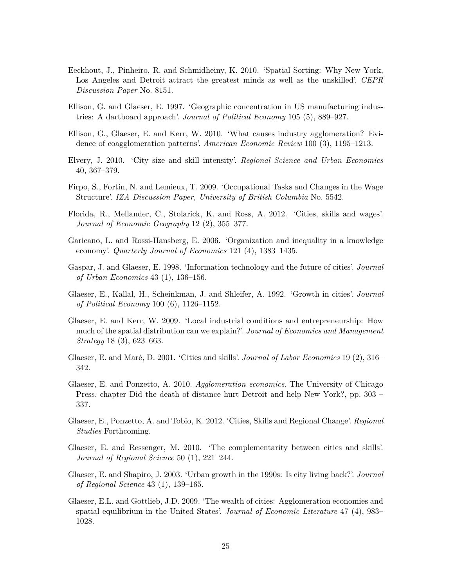- <span id="page-26-10"></span>Eeckhout, J., Pinheiro, R. and Schmidheiny, K. 2010. 'Spatial Sorting: Why New York, Los Angeles and Detroit attract the greatest minds as well as the unskilled'. *CEPR Discussion Paper* No. 8151.
- <span id="page-26-1"></span>Ellison, G. and Glaeser, E. 1997. 'Geographic concentration in US manufacturing industries: A dartboard approach'. *Journal of Political Economy* 105 (5), 889–927.
- <span id="page-26-9"></span>Ellison, G., Glaeser, E. and Kerr, W. 2010. 'What causes industry agglomeration? Evidence of coagglomeration patterns'. *American Economic Review* 100 (3), 1195–1213.
- <span id="page-26-15"></span>Elvery, J. 2010. 'City size and skill intensity'. *Regional Science and Urban Economics* 40, 367–379.
- <span id="page-26-4"></span>Firpo, S., Fortin, N. and Lemieux, T. 2009. 'Occupational Tasks and Changes in the Wage Structure'. *IZA Discussion Paper, University of British Columbia* No. 5542.
- <span id="page-26-5"></span>Florida, R., Mellander, C., Stolarick, K. and Ross, A. 2012. 'Cities, skills and wages'. *Journal of Economic Geography* 12 (2), 355–377.
- <span id="page-26-6"></span>Garicano, L. and Rossi-Hansberg, E. 2006. 'Organization and inequality in a knowledge economy'. *Quarterly Journal of Economics* 121 (4), 1383–1435.
- <span id="page-26-8"></span>Gaspar, J. and Glaeser, E. 1998. 'Information technology and the future of cities'. *Journal of Urban Economics* 43 (1), 136–156.
- <span id="page-26-2"></span>Glaeser, E., Kallal, H., Scheinkman, J. and Shleifer, A. 1992. 'Growth in cities'. *Journal of Political Economy* 100 (6), 1126–1152.
- <span id="page-26-3"></span>Glaeser, E. and Kerr, W. 2009. 'Local industrial conditions and entrepreneurship: How much of the spatial distribution can we explain?'. *Journal of Economics and Management Strategy* 18 (3), 623–663.
- <span id="page-26-0"></span>Glaeser, E. and Maré, D. 2001. 'Cities and skills'. *Journal of Labor Economics* 19 (2), 316– 342.
- <span id="page-26-13"></span>Glaeser, E. and Ponzetto, A. 2010. *Agglomeration economics*. The University of Chicago Press. chapter Did the death of distance hurt Detroit and help New York?, pp. 303 – 337.
- <span id="page-26-14"></span>Glaeser, E., Ponzetto, A. and Tobio, K. 2012. 'Cities, Skills and Regional Change'. *Regional Studies* Forthcoming.
- <span id="page-26-7"></span>Glaeser, E. and Ressenger, M. 2010. 'The complementarity between cities and skills'. *Journal of Regional Science* 50 (1), 221–244.
- <span id="page-26-11"></span>Glaeser, E. and Shapiro, J. 2003. 'Urban growth in the 1990s: Is city living back?'. *Journal of Regional Science* 43 (1), 139–165.
- <span id="page-26-12"></span>Glaeser, E.L. and Gottlieb, J.D. 2009. 'The wealth of cities: Agglomeration economies and spatial equilibrium in the United States'. *Journal of Economic Literature* 47 (4), 983– 1028.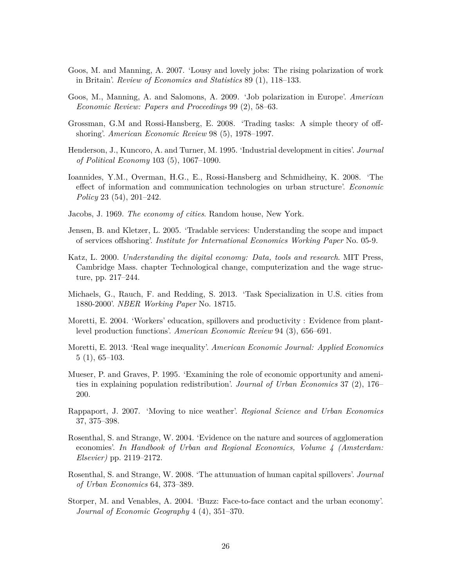- <span id="page-27-1"></span>Goos, M. and Manning, A. 2007. 'Lousy and lovely jobs: The rising polarization of work in Britain'. *Review of Economics and Statistics* 89 (1), 118–133.
- <span id="page-27-2"></span>Goos, M., Manning, A. and Salomons, A. 2009. 'Job polarization in Europe'. *American Economic Review: Papers and Proceedings* 99 (2), 58–63.
- <span id="page-27-0"></span>Grossman, G.M and Rossi-Hansberg, E. 2008. 'Trading tasks: A simple theory of offshoring'. *American Economic Review* 98 (5), 1978–1997.
- <span id="page-27-6"></span>Henderson, J., Kuncoro, A. and Turner, M. 1995. 'Industrial development in cities'. *Journal of Political Economy* 103 (5), 1067–1090.
- <span id="page-27-13"></span>Ioannides, Y.M., Overman, H.G., E., Rossi-Hansberg and Schmidheiny, K. 2008. 'The effect of information and communication technologies on urban structure'. *Economic Policy* 23 (54), 201–242.
- <span id="page-27-12"></span>Jacobs, J. 1969. *The economy of cities*. Random house, New York.
- <span id="page-27-3"></span>Jensen, B. and Kletzer, L. 2005. 'Tradable services: Understanding the scope and impact of services offshoring'. *Institute for International Economics Working Paper* No. 05-9.
- <span id="page-27-11"></span>Katz, L. 2000. *Understanding the digital economy: Data, tools and research*. MIT Press, Cambridge Mass. chapter Technological change, computerization and the wage structure, pp. 217–244.
- <span id="page-27-4"></span>Michaels, G., Rauch, F. and Redding, S. 2013. 'Task Specialization in U.S. cities from 1880-2000'. *NBER Working Paper* No. 18715.
- <span id="page-27-7"></span>Moretti, E. 2004. 'Workers' education, spillovers and productivity : Evidence from plantlevel production functions'. *American Economic Review* 94 (3), 656–691.
- <span id="page-27-10"></span>Moretti, E. 2013. 'Real wage inequality'. *American Economic Journal: Applied Economics*  $5(1), 65-103.$
- <span id="page-27-8"></span>Mueser, P. and Graves, P. 1995. 'Examining the role of economic opportunity and amenities in explaining population redistribution'. *Journal of Urban Economics* 37 (2), 176– 200.
- <span id="page-27-9"></span>Rappaport, J. 2007. 'Moving to nice weather'. *Regional Science and Urban Economics* 37, 375–398.
- <span id="page-27-15"></span>Rosenthal, S. and Strange, W. 2004. 'Evidence on the nature and sources of agglomeration economies'. *In Handbook of Urban and Regional Economics, Volume 4 (Amsterdam: Elsevier)* pp. 2119–2172.
- <span id="page-27-14"></span>Rosenthal, S. and Strange, W. 2008. 'The attunuation of human capital spillovers'. *Journal of Urban Economics* 64, 373–389.
- <span id="page-27-5"></span>Storper, M. and Venables, A. 2004. 'Buzz: Face-to-face contact and the urban economy'. *Journal of Economic Geography* 4 (4), 351–370.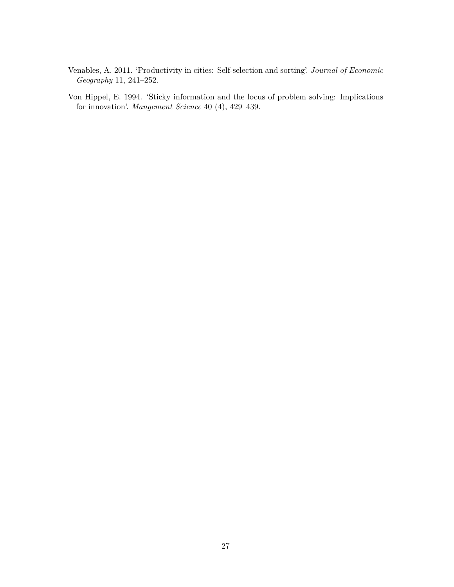- <span id="page-28-1"></span>Venables, A. 2011. 'Productivity in cities: Self-selection and sorting'. *Journal of Economic Geography* 11, 241–252.
- <span id="page-28-0"></span>Von Hippel, E. 1994. 'Sticky information and the locus of problem solving: Implications for innovation'. *Mangement Science* 40 (4), 429–439.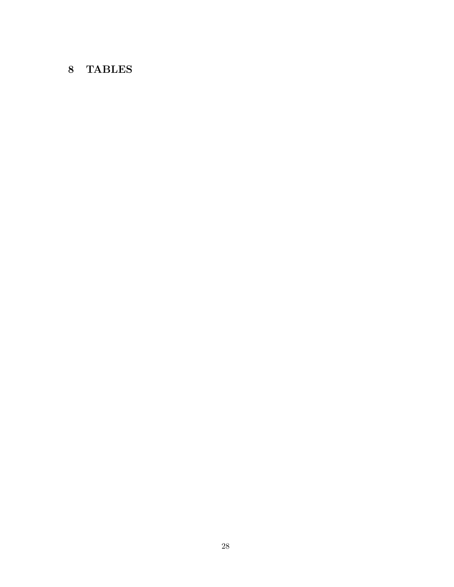## **8 TABLES**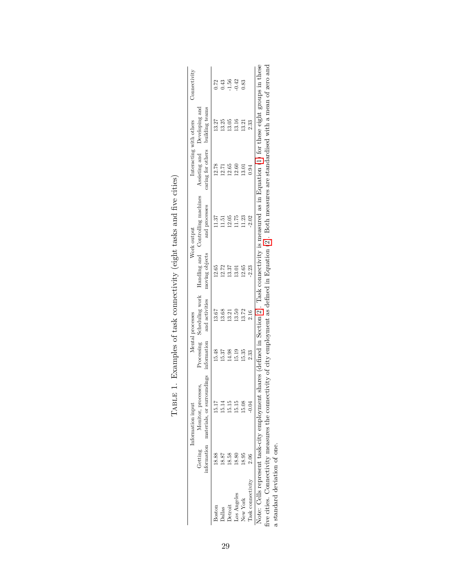<span id="page-30-0"></span>

|                   |                  | Information input                                                  |                          | Mental processes                  |                                  | Work output                           |                   | Interacting with others                        | Connectivit |
|-------------------|------------------|--------------------------------------------------------------------|--------------------------|-----------------------------------|----------------------------------|---------------------------------------|-------------------|------------------------------------------------|-------------|
|                   | Getting          | undings<br>Monitor, processes,<br>information materials, or surror | nformation<br>Processing | Scheduling work<br>and activities | Handling and (<br>moving objects | Controlling machines<br>and processes | caring for others | Assisting and Developing and<br>building teams |             |
|                   | 18.88            | 15.17                                                              | 15.48                    | 13.67                             | 12.65                            | 137                                   | 12.78             | 13.27                                          | 0.72        |
|                   | 18.87            | 15.14                                                              | 15.37                    | 13.68                             | 12.72                            | 1.51                                  | 12.71             | 13.25                                          | 0.43        |
|                   | 18.58            | 15.15                                                              | 14.98                    | 13.21                             | 13.37                            | 12.05                                 | 12.65             | 13.05                                          | 1.56        |
| Los Angeles       | $\frac{8.80}{5}$ | 15.15                                                              | 15.19                    | 13.50                             | 13.01                            | 11.75                                 | 12.60             | 13.16                                          | 0.42        |
| New York          | 18.95            | 15.08                                                              | 15.35                    | 13.72                             | 12.65                            | 11.23                                 | 13.01             | 13.21                                          | 0.83        |
| fask connectivity | 2.06             | 0.04                                                               | 2.33                     | 2.16                              | .2.23                            | $-2.02$                               | 0.94              | 2.33                                           |             |

| I<br>ı                                                                                 |
|----------------------------------------------------------------------------------------|
| j<br>l<br>¢                                                                            |
| S<br>S<br>֧֧֧ׅ֧ׅ֧ׅ֧֧ׅ֧ׅ֧֛ׅ֧֧ׅ֧ׅ֧ׅ֧ׅ֧ׅ֧֧֧֧֚֚֚֚֚֚֚֚֚֚֚֚֚֚֚֚֚֚֚֬֝֝֬֜֜֓֝֬֜֜֓֜֓֝֬֜֜֜֜֝֬֝֬֝֬ |
| .<br>גו<br>l<br>j                                                                      |
| Î<br>)<br>ı                                                                            |
| l<br>l<br>۱<br>د م<br> <br> <br> <br>l                                                 |
| l<br>j<br>Ì<br>l                                                                       |
| ı                                                                                      |
| l<br>ł<br>ı<br>ŗ                                                                       |
| 1                                                                                      |
| ī                                                                                      |
| $\frac{1}{2}$<br>l<br>I<br>I                                                           |

Note: Cells represent task-city employment shares (defined in Section 2). Task connectivity is measured as in Equation (1) for these eight groups in these five cities. Connectivity measures the connectivity of city employ five cities. Connectivity measures the connectivity of city employment as defined in Equation [\(2\)](#page-8-0). Both measures are standardised with a mean of zero and

a standard deviation of one.

29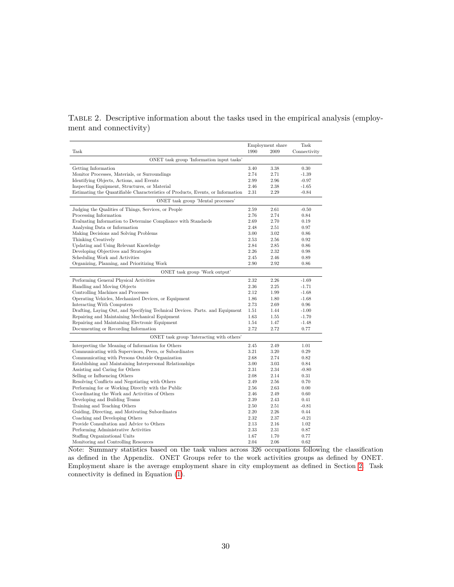### <span id="page-31-0"></span>TABLE 2. Descriptive information about the tasks used in the empirical analysis (employment and connectivity)

|                                                                                 |          | Employment share | Task         |
|---------------------------------------------------------------------------------|----------|------------------|--------------|
| Task                                                                            | 1990     | 2009             | Connectivity |
| ONET task group 'Information input tasks'                                       |          |                  |              |
| Getting Information                                                             | $3.40\,$ | 3.38             | 0.30         |
| Monitor Processes, Materials, or Surroundings                                   | 2.74     | 2.71             | $-1.39$      |
| Identifying Objects, Actions, and Events                                        | 2.99     | 2.96             | $-0.97$      |
| Inspecting Equipment, Structures, or Material                                   | 2.46     | 2.38             | $-1.65$      |
| Estimating the Quantifiable Characteristics of Products, Events, or Information | 2.31     | 2.29             | $-0.84$      |
| ONET task group 'Mental processes'                                              |          |                  |              |
| Judging the Qualities of Things, Services, or People                            | 2.59     | 2.61             | $-0.50$      |
| Processing Information                                                          | 2.76     | 2.74             | 0.84         |
| Evaluating Information to Determine Compliance with Standards                   | 2.69     | 2.70             | 0.19         |
| Analysing Data or Information                                                   | 2.48     | 2.51             | 0.97         |
| Making Decisions and Solving Problems                                           | 3.00     | 3.02             | 0.86         |
| Thinking Creatively                                                             | 2.53     | 2.56             | 0.92         |
| Updating and Using Relevant Knowledge                                           | 2.84     | 2.85             | 0.86         |
| Developing Objectives and Strategies                                            | 2.26     | 2.32             | 0.98         |
| Scheduling Work and Activities                                                  | 2.45     | 2.46             | 0.89         |
| Organizing, Planning, and Prioritizing Work                                     | 2.90     | 2.92             | 0.86         |
| ONET task group 'Work output'                                                   |          |                  |              |
| Performing General Physical Activities                                          | 2.32     | 2.26             | $-1.69$      |
| Handling and Moving Objects                                                     | 2.36     | 2.25             | $-1.71$      |
| Controlling Machines and Processes                                              | 2.12     | 1.99             | $-1.68$      |
| Operating Vehicles, Mechanized Devices, or Equipment                            | 1.86     | 1.80             | $-1.68$      |
| Interacting With Computers                                                      | 2.73     | 2.69             | 0.96         |
| Drafting, Laying Out, and Specifying Technical Devices. Parts. and Equipment    | 1.51     | 1.44             | $-1.00$      |
| Repairing and Maintaining Mechanical Equipment                                  | 1.63     | 1.55             | $-1.70$      |
| Repairing and Maintaining Electronic Equipment                                  | 1.54     | 1.47             | $-1.48$      |
| Documenting or Recording Information                                            | 2.72     | 2.72             | 0.77         |
| ONET task group 'Interacting with others'                                       |          |                  |              |
| Interpreting the Meaning of Information for Others                              | 2.45     | 2.49             | 1.01         |
| Communicating with Supervisors, Peers, or Subordinates                          | 3.21     | 3.20             | 0.29         |
| Communicating with Persons Outside Organization                                 | 2.68     | 2.74             | 0.82         |
| Establishing and Maintaining Interpersonal Relationships                        | 3.00     | 3.03             | 0.84         |
| Assisting and Caring for Others                                                 | 2.31     | 2.34             | $-0.80$      |
| Selling or Influencing Others                                                   | 2.08     | 2.14             | 0.31         |
| Resolving Conflicts and Negotiating with Others                                 | 2.49     | 2.56             | 0.70         |
| Performing for or Working Directly with the Public                              | 2.56     | 2.63             | 0.00         |
| Coordinating the Work and Activities of Others                                  | 2.46     | 2.49             | 0.60         |
| Developing and Building Teams                                                   | 2.39     | 2.43             | 0.41         |
| Training and Teaching Others                                                    | 2.50     | 2.51             | $-0.81$      |
| Guiding, Directing, and Motivating Subordinates                                 | $2.20\,$ | 2.26             | 0.44         |
| Coaching and Developing Others                                                  | 2.32     | 2.37             | $-0.21$      |
| Provide Consultation and Advice to Others                                       | 2.13     | 2.16             | 1.02         |
| Performing Administrative Activities                                            | 2.33     | 2.31             | 0.87         |
| Staffing Organizational Units                                                   | 1.67     | 1.70             | 0.77         |
| Monitoring and Controlling Resources                                            | 2.04     | 2.06             | 0.62         |

Note: Summary statistics based on the task values across 326 occupations following the classification as defined in the Appendix. ONET Groups refer to the work activities groups as defined by ONET. Employment share is the average employment share in city employment as defined in Section [2.](#page-5-0) Task connectivity is defined in Equation [\(1\)](#page-7-0).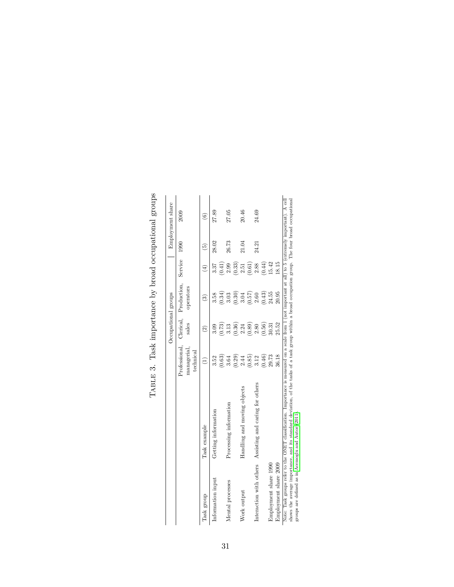|                       |                                                         |                                          |                                               | Occupational groups                             |               |       | Employment share  |
|-----------------------|---------------------------------------------------------|------------------------------------------|-----------------------------------------------|-------------------------------------------------|---------------|-------|-------------------|
|                       |                                                         | Professional.<br>managerial<br>technical | sales                                         | Clerical, Production, Service 1990<br>operators |               |       | 2009              |
| Task group            | Task example                                            | Ê                                        | $\widehat{\mathbb{C}}$                        | ව                                               | $\widehat{E}$ | ම     | $\widehat{\circ}$ |
| Information input     | Getting information                                     | 3.52                                     | 3.09                                          | 8.58                                            | 3.37          | 28.02 | 27.89             |
|                       |                                                         | (63)                                     | (0.73)                                        | (0.34)                                          | (11)          |       |                   |
| Mental processes      | Processing information                                  | 3.64                                     | 3.13                                          | 3.03                                            | 2.99          | 26.73 | 27.05             |
|                       |                                                         | (62.0)                                   |                                               | (0.30)                                          | 0.33          |       |                   |
| Work output           | Handling and moving objects                             | 2.44                                     | $\begin{array}{c} (0.36) \\ 2.24 \end{array}$ | 3.04                                            | 2.51          | 21.04 | 20.46             |
|                       |                                                         | (0.85)                                   | (0.89)                                        | (0.57)                                          | (0.61)        |       |                   |
|                       | Interaction with others Assisting and caring for others | 3.12                                     | 2.80                                          | 2.60                                            | 2.88          | 24.21 | 24.69             |
|                       |                                                         | (0.46)                                   | (0.56)                                        | (0.43)                                          | (44)          |       |                   |
| Employment share 1990 |                                                         | 29.73                                    | 30.31                                         | 24.55                                           | 15.42         |       |                   |
| Employment share 2009 |                                                         | 36.18                                    | 25.52                                         | 20.95                                           | 18.15         |       |                   |

<span id="page-32-0"></span>TABLE 3. Task importance by broad occupational groups Table 3. Task importance by broad occupational groups

 $\frac{1}{2}$  $\frac{1}{100}$  and  $\frac{1}{100}$  are defined as in Acemoglu and Autor (2011). groups are defined as in [Acemoglu](#page-24-3) and Autor [\(2011\)](#page-24-3).

31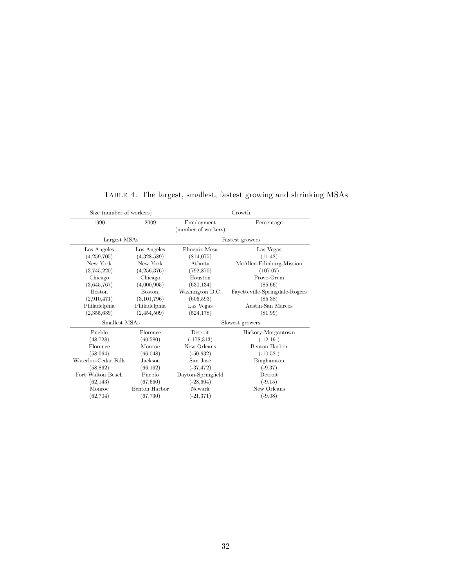<span id="page-33-0"></span>

| Size (number of workers) |               |                     | Growth                         |
|--------------------------|---------------|---------------------|--------------------------------|
| 1990                     | 2009          | Employment          | Percentage                     |
|                          |               | (number of workers) |                                |
| Largest MSAs             |               |                     | Fastest growers                |
| Los Angeles              | Los Angeles   | Phoenix-Mesa        | Las Vegas                      |
| (4,259,705)              | (4,328,589)   | (814, 075)          | (11.42)                        |
| New York                 | New York      | Atlanta             | McAllen-Edinburg-Mission       |
| (3,745,220)              | (4, 256, 376) | (792, 870)          | (107.07)                       |
| Chicago                  | Chicago       | Houston             | Provo-Orem                     |
| (3,645,767)              | (4,000,905)   | (630, 134)          | (85.66)                        |
| <b>Boston</b>            | Boston,       | Washington D.C.     | Fayetteville-Springdale-Rogers |
| (2,910,471)              | (3, 101, 796) | (606, 593)          | (85.38)                        |
| Philadelphia             | Philadelphia  | Las Vegas           | Austin-San Marcos              |
| (2,355,639)              | (2,454,509)   | (524, 178)          | (81.99)                        |
| Smallest MSAs            |               |                     | Slowest growers                |
| Pueblo                   | Florence      | Detroit             | Hickory-Morgantown             |
| (48, 728)                | (60, 580)     | $(-178,313)$        | $(-12.19)$                     |
| Florence                 | Monroe        | New Orleans         | Benton Harbor                  |
| (58,064)                 | (66, 048)     | $(-50,632)$         | $(-10.52)$                     |
| Waterloo-Cedar Falls     | Jackson       | San Jose            | Binghamton                     |
| (58, 862)                | (66, 162)     | $(-37, 472)$        | $(-9.37)$                      |
| Fort Walton Beach        | Pueblo        | Dayton-Springfield  | Detroit                        |
| (62, 143)                | (67, 660)     | $(-28,604)$         | $(-9.15)$                      |
| Monroe                   | Benton Harbor | Newark              | New Orleans                    |
| (62, 704)                | (67, 730)     | $(-21,371)$         | $(-9.08)$                      |

Table 4. The largest, smallest, fastest growing and shrinking MSAs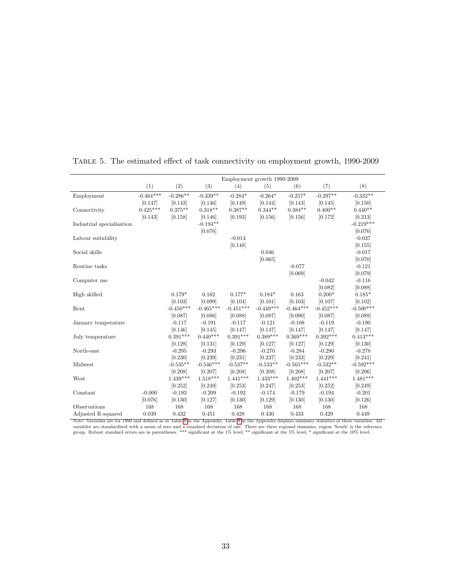|                                                                                                                                                |             |             |             |             | Employment growth 1990-2009 |             |             |             |
|------------------------------------------------------------------------------------------------------------------------------------------------|-------------|-------------|-------------|-------------|-----------------------------|-------------|-------------|-------------|
|                                                                                                                                                | (1)         | (2)         | (3)         | (4)         | (5)                         | (6)         | (7)         | (8)         |
| Employment                                                                                                                                     | $-0.464***$ | $-0.286**$  | $-0.339**$  | $-0.284*$   | $-0.264*$                   | $-0.257*$   | $-0.297**$  | $-0.332**$  |
|                                                                                                                                                | [0.147]     | [0.143]     | [0.146]     | [0.149]     | [0.144]                     | [0.143]     | [0.145]     | [0.150]     |
| Connectivity                                                                                                                                   | $0.425***$  | $0.375**$   | $0.318**$   | $0.387**$   | $0.344**$                   | $0.384**$   | $0.400**$   | $0.440**$   |
|                                                                                                                                                | [0.143]     | [0.158]     | [0.146]     | [0.193]     | [0.156]                     | [0.156]     | [0.172]     | [0.213]     |
| Industrial specialisation                                                                                                                      |             |             | $-0.194**$  |             |                             |             |             | $-0.219***$ |
|                                                                                                                                                |             |             | [0.076]     |             |                             |             |             | [0.076]     |
| Labour suitability                                                                                                                             |             |             |             | $-0.014$    |                             |             |             | $-0.037$    |
|                                                                                                                                                |             |             |             | [0.148]     |                             |             |             | [0.155]     |
| Social skills                                                                                                                                  |             |             |             |             | 0.046                       |             |             | $-0.017$    |
|                                                                                                                                                |             |             |             |             | [0.065]                     |             |             | [0.070]     |
| Routine tasks                                                                                                                                  |             |             |             |             |                             | $-0.077$    |             | $-0.121$    |
|                                                                                                                                                |             |             |             |             |                             | [0.069]     |             | [0.079]     |
| Computer use                                                                                                                                   |             |             |             |             |                             |             | $-0.042$    | $-0.116$    |
|                                                                                                                                                |             |             |             |             |                             |             | [0.082]     | [0.088]     |
| High skilled                                                                                                                                   |             | $0.179*$    | 0.162       | $0.177*$    | $0.184*$                    | 0.163       | $0.200*$    | $0.185*$    |
|                                                                                                                                                |             | [0.103]     | [0.099]     | [0.104]     | [0.101]                     | [0.103]     | [0.107]     | [0.102]     |
| Rent                                                                                                                                           |             | $-0.450***$ | $-0.465***$ | $-0.451***$ | $-0.449***$                 | $-0.464***$ | $-0.452***$ | $-0.500***$ |
|                                                                                                                                                |             | [0.087]     | [0.086]     | [0.088]     | [0.087]                     | [0.090]     | [0.087]     | [0.089]     |
| January temperature                                                                                                                            |             | $-0.117$    | $-0.191$    | $-0.117$    | $-0.121$                    | $-0.108$    | $-0.119$    | $-0.190$    |
|                                                                                                                                                |             | [0.146]     | [0.145]     | [0.147]     | [0.147]                     | [0.147]     | [0.147]     | [0.147]     |
| July temperature                                                                                                                               |             | $0.391***$  | $0.440***$  | $0.391***$  | $0.389***$                  | $0.369***$  | $0.392***$  | $0.413***$  |
|                                                                                                                                                |             | [0.128]     | [0.131]     | [0.129]     | [0.127]                     | [0.127]     | [0.129]     | [0.130]     |
| North-east                                                                                                                                     |             | $-0.295$    | $-0.293$    | $-0.296$    | $-0.270$                    | $-0.284$    | $-0.290$    | $-0.278$    |
|                                                                                                                                                |             | [0.230]     | [0.239]     | [0.231]     | [0.237]                     | [0.233]     | [0.229]     | [0.241]     |
| Midwest                                                                                                                                        |             | $-0.535**$  | $-0.546***$ | $-0.537**$  | $-0.533**$                  | $-0.565***$ | $-0.532**$  | $-0.592***$ |
|                                                                                                                                                |             | [0.208]     | [0.207]     | [0.208]     | [0.208]                     | [0.208]     | [0.207]     | [0.206]     |
| West                                                                                                                                           |             | $1.439***$  | $1.518***$  | $1.441***$  | $1.433***$                  | $1.402***$  | $1.441***$  | $1.481***$  |
|                                                                                                                                                |             | [0.252]     | [0.249]     | [0.253]     | [0.247]                     | [0.253]     | [0.252]     | [0.249]     |
| Constant                                                                                                                                       | $-0.000$    | $-0.193$    | $-0.209$    | $-0.192$    | $-0.174$                    | $-0.179$    | $-0.194$    | $-0.201$    |
|                                                                                                                                                | [0.076]     | [0.130]     | [0.127]     | [0.130]     | [0.129]                     | [0.130]     | [0.130]     | [0.126]     |
| Observations                                                                                                                                   | 168         | 168         | 168         | 168         | 168                         | 168         | 168         | 168         |
| Adjusted R-squared                                                                                                                             | 0.039       | 0.432       | 0.451       | 0.428       | 0.430                       | 0.433       | 0.429       | 0.449       |
| Neto: Verighles are for 1000 and defined as in Table 8 in the Annendix. Table 9 in the Annendix displays summary statistics of these variables |             |             |             |             |                             |             |             |             |

<span id="page-34-0"></span>Table 5. The estimated effect of task connectivity on employment growth, 1990-2009

Note: Variables are for 1990 and defined as in Table [8](#page-46-0) in the Appendix, Table [9](#page-47-0) in the Appendix displays summary statistics of these variables. All<br>variables are standardised with a mean of zero and a standard deviation of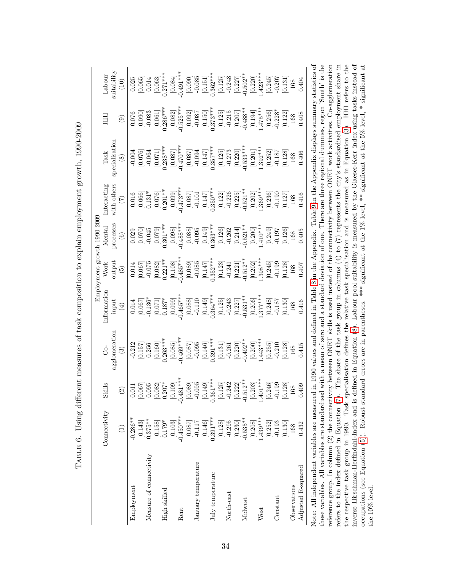<span id="page-35-0"></span>

|                                                                                                                                                                                                                                                                                                                         |                                      |                                    |                                                                                                              |                                    |                           | Employment growth 1990-2009 |                              |                                 |                                                             |                        |
|-------------------------------------------------------------------------------------------------------------------------------------------------------------------------------------------------------------------------------------------------------------------------------------------------------------------------|--------------------------------------|------------------------------------|--------------------------------------------------------------------------------------------------------------|------------------------------------|---------------------------|-----------------------------|------------------------------|---------------------------------|-------------------------------------------------------------|------------------------|
|                                                                                                                                                                                                                                                                                                                         | Connectivity                         | kills<br>m                         | ರೆ                                                                                                           | Information                        | Work                      | Mental                      | Interacting                  | Task                            | 目                                                           | Labour                 |
|                                                                                                                                                                                                                                                                                                                         | Ξ                                    | $\widehat{c}$                      | agglomeration<br>ව                                                                                           | input<br>$\bigoplus$               | output<br>$\widetilde{E}$ | processes<br>$\widehat{6}$  | with others<br>$\widehat{C}$ | specialisation<br>$\circledast$ | $\begin{array}{c} \textcircled{\scriptsize{1}} \end{array}$ | $s$ uitability<br>(10) |
| Employment                                                                                                                                                                                                                                                                                                              | $-0.286**$                           | $\Xi$                              | $-0.212$                                                                                                     | 0.014                              | 0.014                     | 0.029                       | 0.016                        | $-0.004$                        | 0.076                                                       | 0.025                  |
|                                                                                                                                                                                                                                                                                                                         | [0.143]                              | [790]                              | [0.157]                                                                                                      | [0.067]                            | [0.067]                   | [0.070]                     | [0.066]                      | [0.076]                         | [0.090]                                                     | [0.065]                |
| Measure of connectivity                                                                                                                                                                                                                                                                                                 | $0.375**$                            | 095                                | 0.256                                                                                                        | $-0.136*$                          | $-0.075$                  | $-0.045$                    | $0.131*$                     | $-0.064$                        | $-0.083$                                                    | 0.014                  |
|                                                                                                                                                                                                                                                                                                                         | [0.158]                              | [0.082]                            | $[0.160]$                                                                                                    | [0.071]                            | [0.082]                   | [0.079]                     | [0.076]                      | [0.071]                         | [0.061]                                                     | [0.063]                |
| High skilled                                                                                                                                                                                                                                                                                                            | $0.179*$                             | $0.207*$                           | $0.263***$                                                                                                   | $0.187*$                           | $0.221**$                 | $0.301***$                  | $0.201**$                    | $0.238***$                      | $0.286***$                                                  | $0.271***$             |
|                                                                                                                                                                                                                                                                                                                         | $-0.450***$<br>$\left[ 0.103\right]$ | [0.109]                            | $0.469***$<br>[0.085]                                                                                        | $0.465***$<br>$\left[0.099\right]$ | $\left[0.108\right]$      | $\left[0.098\right]$        | $\left[0.099\right]$         | [0.087]                         | [0.082]                                                     | [0.084]                |
| Rent                                                                                                                                                                                                                                                                                                                    |                                      | $-0.481***$                        |                                                                                                              |                                    | $0.485***$                | $0.488***$                  | $0.473***$                   | $-0.470***$                     | $0.525***$                                                  | $0.491***$             |
| January temperature                                                                                                                                                                                                                                                                                                     | [0.087]<br>$-0.117$                  | 0.089<br>0.095<br>$\subseteq$<br>Ģ | $-0.095$<br>[0.087]                                                                                          | $-0.110$<br>[0.088]                | [0.089]<br>$-0.085$       | $-0.095$<br>[0.088]         | [0.087]<br>$-0.101$          | $-0.094$<br>[0.087]             | [0.092]<br>$-0.087$                                         | [0.090]<br>$-0.085$    |
|                                                                                                                                                                                                                                                                                                                         | [0.146]                              |                                    | $\left[ 0.146\right]$                                                                                        | $\left[ 0.149\right]$              | $\left[0.147\right]$      | $\left[ 0.149\right]$       | $\left[ 0.147\right]$        | $\left[0.147\right]$            |                                                             | $\left[ 0.151\right]$  |
| July temperature                                                                                                                                                                                                                                                                                                        | $0.391***$                           | $[0.149] \\ 0.361***$              | $0.391***$                                                                                                   | $0.364***$                         | $0.352***$                | $0.363***$                  | $0.350***$                   | $0.357***$                      | $[0.150]$<br>$0.373***$                                     | $0.362***$             |
|                                                                                                                                                                                                                                                                                                                         | [0.128]                              | [0.125]                            | $[0.131]$                                                                                                    | $\left[0.125\right]$               | $\left[0.123\right]$      | [0.126]                     | [0.122]                      | $\left[ 0.125\right]$           | $\left[0.125\right]$                                        | [0.125]                |
| North-east                                                                                                                                                                                                                                                                                                              | $-0.295$                             | .242<br>Ģ                          | $-0.261$                                                                                                     | $-0.243$                           | $-0.241$                  | $-0.262$                    | $-0.226$                     | $-0.273$                        | $-0.215$                                                    | $-0.248$               |
|                                                                                                                                                                                                                                                                                                                         | [0.230]                              | [0.222]                            | [0.220]                                                                                                      | $\left[0.227\right]$               | [0.221]                   | [0.214]                     | [0.225]                      | [0.220]                         | [0.207]                                                     | [0.227]                |
| Midwest                                                                                                                                                                                                                                                                                                                 | $-0.535***$                          | $-0.512**$                         | $0.492**$                                                                                                    | $-0.531***$                        | $0.512**$                 | $-0.521**$                  | $0.521**$                    | $0.533***$                      | $-0.488***$                                                 | $0.502**$              |
|                                                                                                                                                                                                                                                                                                                         | [0.208]                              | 203<br>$\subseteq$                 | [0.200]                                                                                                      | $\left[ 0.206\right]$              | [0.202]                   | $[0.200]$                   | $\left[ 0.202\right]$        | $[0.201]$<br>1.392***           | [0.194]                                                     | [0.220]                |
| West                                                                                                                                                                                                                                                                                                                    | $1.439***$                           | $1.401***$                         | $.443***$                                                                                                    | $.377***$                          | $.398***$                 | $.410***$                   | $.369***$                    |                                 | $475***$                                                    | $.423***$              |
|                                                                                                                                                                                                                                                                                                                         | [0.252]                              | 246]<br>$\subseteq$                | [0.255]                                                                                                      | [0.248]                            | [0.245]                   | [0.249]                     | [0.236]                      | [0.252]                         | [0.256]                                                     | [0.245]                |
| Constant                                                                                                                                                                                                                                                                                                                | $-0.193$                             | 199                                | $-0.210$                                                                                                     | $-0.187$                           | $-0.199$                  | $-0.197$                    | $-0.190$                     | $-0.187$                        | $-0.228*$                                                   | $-0.207$               |
|                                                                                                                                                                                                                                                                                                                         | [0.130]                              | [0.128]                            | [0.128]                                                                                                      | [0.130]                            | [0.128]                   | [0.126]                     | [0.127]                      | [0.128]                         | [0.122]                                                     | [0.131]                |
| Observations                                                                                                                                                                                                                                                                                                            | 168                                  | 168                                | 168                                                                                                          | 168                                | 168                       | 168                         | 168                          | 168                             | 168                                                         | 168                    |
| Adjusted R-squared                                                                                                                                                                                                                                                                                                      | 0.432                                | 0.409                              | 0.415                                                                                                        | 0.416                              | 0.407                     | $0.405$                     | 0.416                        | 0.406                           | 0.408                                                       | 0.404                  |
| Note: All independent variables are measured in 1990 values and defined in Table 8 in the Appendix. Table 9 in the Appendix displays summary statistics of                                                                                                                                                              |                                      |                                    |                                                                                                              |                                    |                           |                             |                              |                                 |                                                             |                        |
| these variables. All variables are standardised with a mean of zero and a standard deviation of one. There are three regional dummies, region 'South' is the                                                                                                                                                            |                                      |                                    |                                                                                                              |                                    |                           |                             |                              |                                 |                                                             |                        |
| reference group. In column (2) the connectivity between ONET skills is used instead of the connectivity between ONET work activities.                                                                                                                                                                                   |                                      |                                    |                                                                                                              |                                    |                           |                             |                              |                                 |                                                             | Co-agglomeration       |
| refers to the index defined in Equation (7).                                                                                                                                                                                                                                                                            |                                      |                                    | The share of the task group in columns $(4)$ to $(7)$ represents the city's standardised employment share in |                                    |                           |                             |                              |                                 |                                                             |                        |
| the respective task group in 1990. Task specialisation defines the relative task specialisation and is measured as in Equation (3). HHI refers to the                                                                                                                                                                   |                                      |                                    |                                                                                                              |                                    |                           |                             |                              |                                 |                                                             |                        |
| inverse Hirschman-Herfindahl-Index and is defined in Equation (8). Labour pool suitability is measured by the Glaeser-Kerr index using tasks instead of<br>occupations (see Equation (5)). Robust standard errors are in parentheses. *** significant at the 1% level, ** significant at the 5% level, * significant at |                                      |                                    |                                                                                                              |                                    |                           |                             |                              |                                 |                                                             |                        |

the 10% level.

the  $10\%$  level.

TABLE 6. Using different measures of task composition to explain employment growth, 1990-2009 Table 6. Using different measures of task composition to explain employment growth, 1990-2009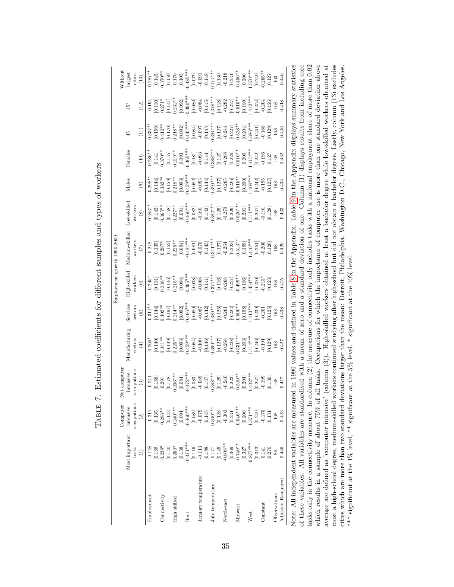<span id="page-36-0"></span>

|                                                                                                                                                           |                          |                                         |                                                |                                                                                                              |                                                                                |                           | Employment growth 1990-2009 |                          |                        |                         |                         |                       |                                                                  |
|-----------------------------------------------------------------------------------------------------------------------------------------------------------|--------------------------|-----------------------------------------|------------------------------------------------|--------------------------------------------------------------------------------------------------------------|--------------------------------------------------------------------------------|---------------------------|-----------------------------|--------------------------|------------------------|-------------------------|-------------------------|-----------------------|------------------------------------------------------------------|
|                                                                                                                                                           |                          | Computer                                | Not computer                                   |                                                                                                              |                                                                                |                           |                             |                          |                        |                         |                         |                       | <b>Nithout</b>                                                   |
|                                                                                                                                                           | Most important           | intensive                               | intensive                                      | Manufacturing                                                                                                | Services                                                                       | High-skilled              | Medium-skilled              | Low-skilled              | Males                  | Females                 | $45 -$                  | $45+$                 | largest                                                          |
|                                                                                                                                                           | tasks<br>$\widehat{\Xi}$ | occupations<br>$\widehat{\mathfrak{D}}$ | occupations<br>$\odot$                         | sectors                                                                                                      | sectors<br>$\widehat{5}$                                                       | workers<br>$\circledcirc$ | vorkers                     | workers<br>$\circledast$ | $\circledcirc$         |                         | (11)                    | (12)                  | cities<br>$(13)$                                                 |
|                                                                                                                                                           |                          |                                         |                                                | $\bigoplus$                                                                                                  |                                                                                |                           | $\widehat{\epsilon}$        |                          |                        |                         |                         |                       |                                                                  |
| Employment                                                                                                                                                | $-0.128$                 | $-0.217$                                | $-0.241$                                       | $-0.266*$                                                                                                    | $0.311**$                                                                      | $-0.245*$                 | $-0.218$                    | $0.283**$                | $-0.298**$             | $0.286**$               | $0.337**$               | $-0.194$              | $0.287***$                                                       |
|                                                                                                                                                           | [0.139]                  | [0.135]                                 | [0.168]                                        | [0.140]                                                                                                      | [0.144]                                                                        | [0.131]                   | $[0.135]$<br>$0.297*$       | [0.142]                  | [0.144]                | [0.141]                 | [0.159]                 | $[0.130]$<br>$0.271*$ | [0.145]                                                          |
| Connectivity                                                                                                                                              | $0.238*$                 | $0.286***$                              |                                                | $0.341***$                                                                                                   | $0.402**$                                                                      | $0.338***$                |                             | $0.365**$                | $0.382**$              | $0.370**$               | $0.412**$               |                       | $0.370**$                                                        |
|                                                                                                                                                           | [0.140]                  | [0.143]                                 | $\begin{bmatrix} 0.291 \\ 0.178 \end{bmatrix}$ | [0.149]                                                                                                      | $\begin{bmatrix} 0.161 \\ 0.214 {^*}^* \end{bmatrix}$                          | $\left[ 0.146\right]$     |                             | [0.158]                  | $[0.159]$<br>$0.218**$ | $[0.155]$<br>$0.219***$ |                         | [0.141]               |                                                                  |
| High skilled                                                                                                                                              | $0.250*$                 | $0.240***$                              | $0.266***$                                     | $0.225***$                                                                                                   |                                                                                | $0.215**$                 | $[0.152]$<br>$0.225**$      |                          |                        |                         | $[0.170]$<br>$0.218***$ | $0.232***$            | $\begin{bmatrix} 0.159 \\ 0.170 \\ 0.110 \\ 0.105 \end{bmatrix}$ |
|                                                                                                                                                           | [0.138]                  | [0.091]                                 | $[0.084]$<br>$0.472***$                        | $\left[ 0.093\right]$                                                                                        | $[0.092]$<br>-0.466***                                                         | $\left[0.094\right]$      | [0.094]                     | $0.227***$<br>[0.091]    | $\left[ 0.093\right]$  | $[0.093]$<br>-0.465***  | [0.092]                 | [0.092]               |                                                                  |
| Rent                                                                                                                                                      | $-0.471***$              | $-0.460***$                             |                                                | $-0.459***$                                                                                                  |                                                                                | $0.495***$                | $0.484***$                  | $0.466***$               | $0.459***$             |                         | $0.445***$              | $0.490***$            | $0.485***$                                                       |
|                                                                                                                                                           | [0.116]                  | [0.089]                                 | [0.083]                                        | [0.084]                                                                                                      | [0.080]                                                                        | [0.078]                   | $[0.081]$                   | [0.082]                  | [0.082]                | [0.081]                 | [0.084]                 | [0.080]               | [0.079]                                                          |
| January temperature                                                                                                                                       | $-0.113$                 | $-0.079$                                |                                                |                                                                                                              |                                                                                | $-0.068$                  | $-0.070$                    | $-0.091$                 | $-0.093$               | $-0.093$                | $-0.097$                | $-0.084$              | $-0.091$                                                         |
|                                                                                                                                                           | [0.198]                  | [0.145]                                 | $\left[0.147\right]$                           | [0.146]                                                                                                      | $\left[0.142\right]$                                                           | $\left[ 0.141\right]$     | $\left[0.143\right]$        | $\left[ 0.143\right]$    | [0.144]                | [0.144]                 | [0.145]                 | [0.145]               | [0.148]                                                          |
| July temperature                                                                                                                                          | 0.177                    | $0.360***$                              | $0.388***$                                     | $0.390***$                                                                                                   | $0.389***$                                                                     | $0.377***$                | $0.371***$                  | $0.382***$               | $0.390***$             | $0.388***$              | $0.391***$              | $0.378***$            | $0.414***$                                                       |
|                                                                                                                                                           | [0.145]                  | [0.128]                                 | [0.129]                                        | [0.127]                                                                                                      | [0.126]                                                                        | [0.126]                   | $\left[0.127\right]$ -0.264 | $\left[0.125\right]$     | [0.127]                | [0.127]                 | [0.127]                 | [0.128]               | $\left[ 0.130\right]$                                            |
| North-east                                                                                                                                                | $-0.808**$               | $-0.303$                                |                                                |                                                                                                              |                                                                                | $-0.268$                  |                             | $-0.279$                 | $-0.265$               | $-0.268$                | $-0.244$                | $-0.282$              | $-0.218$                                                         |
|                                                                                                                                                           | [0.369]                  | [0.231]                                 | $\left[0.223\right]$                           | [0.228]                                                                                                      | $\begin{bmatrix} 0.224 \\ -0.500^{**} \\ [0.198] \\ 1.413^{***} \end{bmatrix}$ | $[0.221]$<br>$-0.499***$  | $[0.223]$<br>$-0.513***$    | [0.229]                  | [0.226]                | $[0.226]$<br>-0.516**   | $[0.227]$<br>$-0.528**$ | $[0.227]$<br>-0.515** | $[0.231]$<br>-0.450**                                            |
| Midwest                                                                                                                                                   | $0.740**$                | $0.546***$                              | $-0.510**$                                     | $0.531***$                                                                                                   |                                                                                |                           |                             | $0.526***$               | $-0.515**$             |                         |                         |                       |                                                                  |
|                                                                                                                                                           | [0.327]                  | [0.206]                                 | $[0.204]$<br>1.402***                          | [0.203]                                                                                                      |                                                                                | $\left[0.196\right]$      | [0.199]                     | $\left[ 0.201\right]$    | $[0.200]$<br>1.408***  | $[0.200]$               | [0.204]                 | $[0.199]$<br>1.442*** | $[0.206]$<br>1.570***                                            |
| West                                                                                                                                                      | $.877***$                | $.371***$                               |                                                | $.414***$                                                                                                    |                                                                                | $.454***$                 | $1.416***$                  | $1.411***$               |                        | $1.415***$              | $.386***$               |                       |                                                                  |
|                                                                                                                                                           | [0.313]                  | [0.249]                                 | [0.247]                                        | [0.246]                                                                                                      | [0.239]                                                                        | [0.250]                   | [0.251]                     | [0.241]                  | [0.242]                | [0.242]                 | [0.241]                 | [0.254]               | [0.249]                                                          |
| Constant                                                                                                                                                  | 0.141                    | $-0.175$                                | $-0.199$                                       | $-0.191$                                                                                                     | $-0.201$                                                                       | $-0.213*$                 | $-0.200$                    | $-0.191$                 | $-0.195$               | $-0.196$                | $-0.188$                | $-0.204$              | $-0.265**$                                                       |
|                                                                                                                                                           | [0.270]                  | [0.131]                                 | [0.130]                                        | [0.129]                                                                                                      | [0.125]                                                                        | [0.123]                   | [0.126]                     | [0.128]                  | [0.127]                | [0.127]                 | [0.129]                 | [0.126]               | [0.127]                                                          |
| Observations                                                                                                                                              |                          | 168                                     | 168                                            | 168                                                                                                          | 168                                                                            | 168                       | 168                         | 168                      | 168                    | 168                     | 168                     | 168                   | 163                                                              |
| Adjusted R-squared                                                                                                                                        | 0.446                    | 0.423                                   | 0.417                                          | 0.427                                                                                                        | 0.438                                                                          | 0.425                     | 0.420                       | 0.433                    | 0.434                  | 0.432                   | 0.436                   | 0.418                 | 0.446                                                            |
| Note: All independent variables are measured in 1990 values and defined in Table 8 in the Appendix. Table 9 in the Appendix displays summary statistics   |                          |                                         |                                                |                                                                                                              |                                                                                |                           |                             |                          |                        |                         |                         |                       |                                                                  |
| of these variables. All variables are standardised with a mean of zero and a standard deviation of one. Column (1) displays results from including core   |                          |                                         |                                                |                                                                                                              |                                                                                |                           |                             |                          |                        |                         |                         |                       |                                                                  |
| tasks only in the connectivity measure. In column (2) the measure of connectivity only includes tasks with a national employment share of more than 0.02  |                          |                                         |                                                |                                                                                                              |                                                                                |                           |                             |                          |                        |                         |                         |                       |                                                                  |
| which results in a sample of about 75% of                                                                                                                 |                          |                                         |                                                | all tasks. Occupations for which the importance of computer use is more than one standard deviation above    |                                                                                |                           |                             |                          |                        |                         |                         |                       |                                                                  |
| average are defined as 'computer intensive'                                                                                                               |                          |                                         |                                                | (column (3)). High-skilled workers obtained at least a bachelor degree while low-skilled workers obtained at |                                                                                |                           |                             |                          |                        |                         |                         |                       |                                                                  |
| most a high-school degree, medium-skilled workers continued studying after high-school but did not obtain a bachelor degree. Lastly, column (13) excludes |                          |                                         |                                                |                                                                                                              |                                                                                |                           |                             |                          |                        |                         |                         |                       |                                                                  |
| cities which are more than two standard deviations larger than the mean: Detroit, Philadelphia, Washington D.C., Chicago, New York and Los Angeles.       |                          |                                         |                                                |                                                                                                              |                                                                                |                           |                             |                          |                        |                         |                         |                       |                                                                  |
| *** significant at the 1% level, ** significant at the 5% level, * significant at the 10% level                                                           |                          |                                         |                                                |                                                                                                              |                                                                                |                           |                             |                          |                        |                         |                         |                       |                                                                  |

TABLE 7. Estimated coefficients for different samples and types of workers Table 7. Estimated coefficients for different samples and types of workers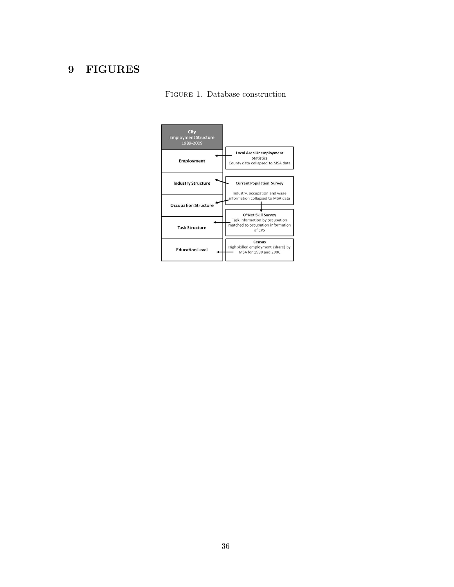## <span id="page-37-0"></span>**9 FIGURES**



Figure 1. Database construction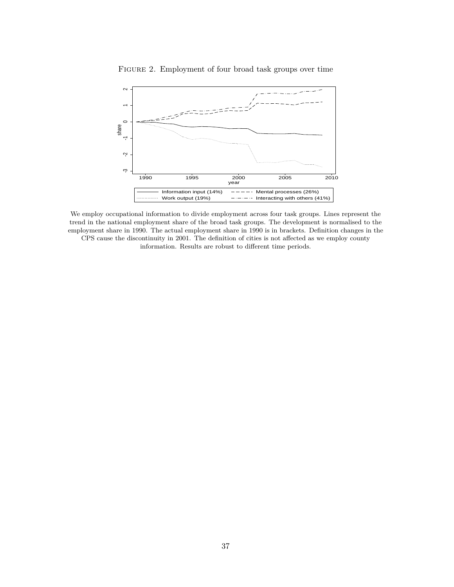<span id="page-38-0"></span>

FIGURE 2. Employment of four broad task groups over time

We employ occupational information to divide employment across four task groups. Lines represent the trend in the national employment share of the broad task groups. The development is normalised to the employment share in 1990. The actual employment share in 1990 is in brackets. Definition changes in the CPS cause the discontinuity in 2001. The definition of cities is not affected as we employ county information. Results are robust to different time periods.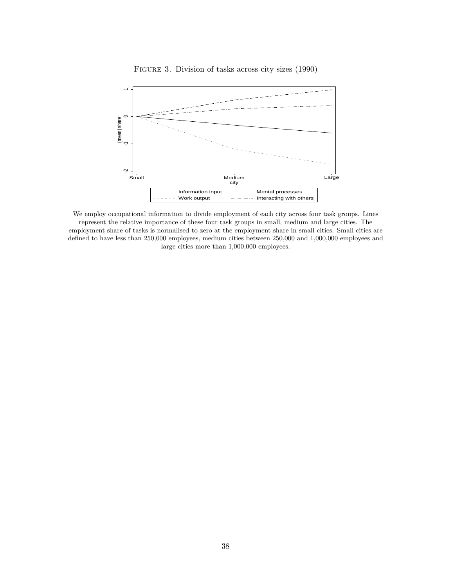<span id="page-39-0"></span>



We employ occupational information to divide employment of each city across four task groups. Lines represent the relative importance of these four task groups in small, medium and large cities. The employment share of tasks is normalised to zero at the employment share in small cities. Small cities are defined to have less than 250,000 employees, medium cities between 250,000 and 1,000,000 employees and large cities more than 1,000,000 employees.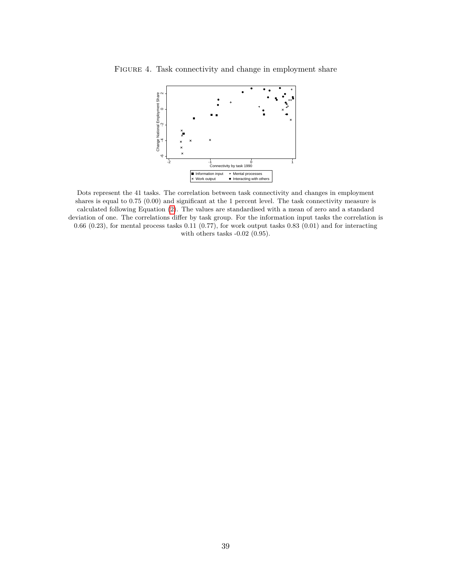

<span id="page-40-0"></span>FIGURE 4. Task connectivity and change in employment share

Dots represent the 41 tasks. The correlation between task connectivity and changes in employment shares is equal to 0.75 (0.00) and significant at the 1 percent level. The task connectivity measure is calculated following Equation [\(2\)](#page-8-0). The values are standardised with a mean of zero and a standard deviation of one. The correlations differ by task group. For the information input tasks the correlation is  $0.66$   $(0.23)$ , for mental process tasks  $0.11$   $(0.77)$ , for work output tasks  $0.83$   $(0.01)$  and for interacting with others tasks -0.02 (0.95).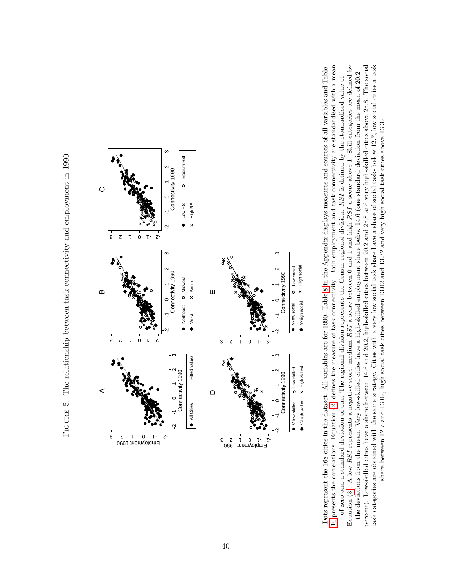

<span id="page-41-0"></span>

2<br>
-1 0<br>
Connectivity 1990<br>
Connectivity 1990<br>
- U-ing skilled<br>
- U-ing skilled<br>
- U-ing skilled x High skilled<br>
- U-ing skilled corresponal<br>
- The regional<br>
seats a negative score, means have between 14.6 and<br>
- a share Connectivity 1990<br>skilled x High skill<br>skilled x High skill<br>(2) defines the report<br>of one. The regative scorn<br>reports of the reson 14<br>report of the scorn 14<br>report of the stategy.<br>same strategy.<br>1 13.02, high s 2  $-1$ <br>
Connectivity 1990<br>
Connectivity 1990<br>  $\bullet$  V-nigh social<br>  $\bullet$  V-nigh social<br>  $\bullet$  V-nigh social<br>  $\bullet$  1990. Table 8 in the Appe<br>  $\bullet$  task connectivity. Both en<br>  $\text{n}$  represents the Census reg<br>  $\text{m}$  repres Connectivity 1990<br>social o Low social<br>social × High so<br>social × High social<br>Charactivity. B<br>connectivity. B<br>connect between the comployme<br>led employme hed employme<br>lilled cities between 13.02 an<br>low social task Dots represent the 168 cities in the dataset. All variables are for 1990. Table [8](#page-46-0) in the Appendix displays measures and sources of all variables and Table [10](#page-48-0) presents the correlations. Equation [\(2\)](#page-8-0) defines the measure of task connectivity. Both employment and task connectivity are standardised with a mean of zero and a standard deviation of one. The regional division represents the Census regional division. *RSI* is defined by the standardised value of Equation [\(3\)](#page-13-0). A low *RSI* represents a negative score, medium *RSI* a score between 0 and 1 and high *RSI* a score above 1. Skill categories are defined by the deviations from the mean. Very low-skilled cities have a high-skilled employment share below 14.6 (one standard deviation from the mean of 20.2 percent). Low-skilled cities have a share between 14.6 and 20.2, high-skilled cities between 20.2 and 25.8 and very high-skilled cities above 25.8. The social

task categories are obtained with the same strategy. Cities with a very low social task share have a share of social tasks below 12.7, low social cities a task share between 12.7 and 13.02, high social task cities between 13.02 and 13.32 and very high social task cities above 13.32.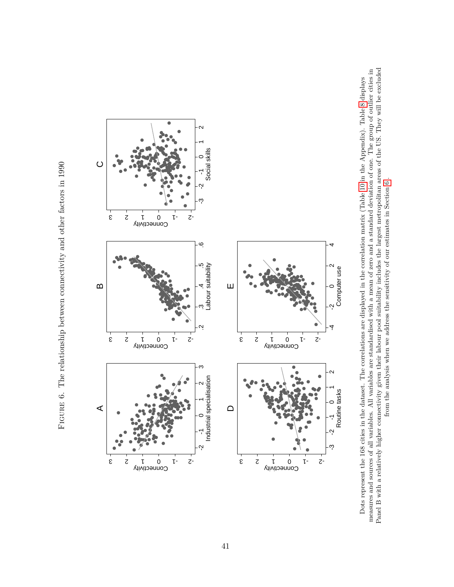

<span id="page-42-0"></span>

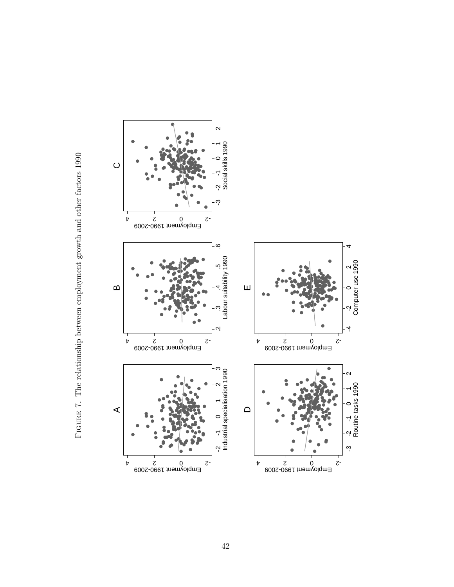FIGURE 7. The relationship between employment growth and other factors 1990 Figure 7. The relationship between employment growth and other factors 1990

<span id="page-43-0"></span>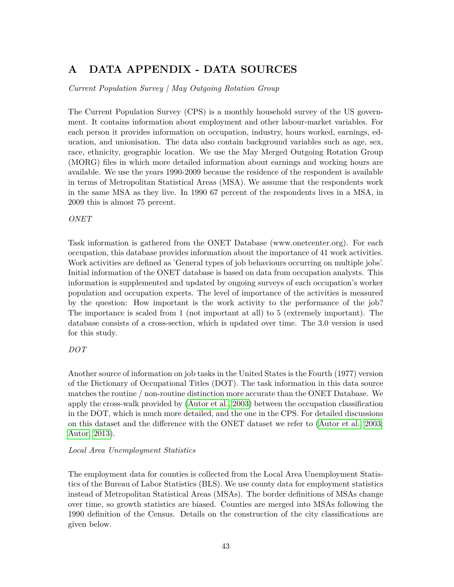## **A DATA APPENDIX - DATA SOURCES**

*Current Population Survey | May Outgoing Rotation Group*

The Current Population Survey (CPS) is a monthly household survey of the US government. It contains information about employment and other labour-market variables. For each person it provides information on occupation, industry, hours worked, earnings, education, and unionisation. The data also contain background variables such as age, sex, race, ethnicity, geographic location. We use the May Merged Outgoing Rotation Group (MORG) files in which more detailed information about earnings and working hours are available. We use the years 1990-2009 because the residence of the respondent is available in terms of Metropolitan Statistical Areas (MSA). We assume that the respondents work in the same MSA as they live. In 1990 67 percent of the respondents lives in a MSA, in 2009 this is almost 75 percent.

#### *ONET*

Task information is gathered from the ONET Database (www.onetcenter.org). For each occupation, this database provides information about the importance of 41 work activities. Work activities are defined as 'General types of job behaviours occurring on multiple jobs'. Initial information of the ONET database is based on data from occupation analysts. This information is supplemented and updated by ongoing surveys of each occupation's worker population and occupation experts. The level of importance of the activities is measured by the question: How important is the work activity to the performance of the job? The importance is scaled from 1 (not important at all) to 5 (extremely important). The database consists of a cross-section, which is updated over time. The 3.0 version is used for this study.

#### *DOT*

Another source of information on job tasks in the United States is the Fourth (1977) version of the Dictionary of Occupational Titles (DOT). The task information in this data source matches the routine / non-routine distinction more accurate than the ONET Database. We apply the cross-walk provided by [\(Autor et al., 2003\)](#page-24-0) between the occupation classification in the DOT, which is much more detailed, and the one in the CPS. For detailed discussions on this dataset and the difference with the ONET dataset we refer to [\(Autor et al., 2003;](#page-24-0) [Autor, 2013\)](#page-24-4).

#### *Local Area Unemployment Statistics*

The employment data for counties is collected from the Local Area Unemployment Statistics of the Bureau of Labor Statistics (BLS). We use county data for employment statistics instead of Metropolitan Statistical Areas (MSAs). The border definitions of MSAs change over time, so growth statistics are biased. Counties are merged into MSAs following the 1990 definition of the Census. Details on the construction of the city classifications are given below.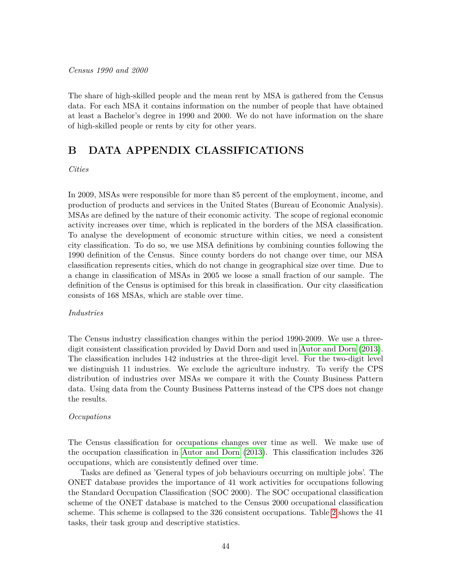#### *Census 1990 and 2000*

The share of high-skilled people and the mean rent by MSA is gathered from the Census data. For each MSA it contains information on the number of people that have obtained at least a Bachelor's degree in 1990 and 2000. We do not have information on the share of high-skilled people or rents by city for other years.

## **B DATA APPENDIX CLASSIFICATIONS**

#### *Cities*

In 2009, MSAs were responsible for more than 85 percent of the employment, income, and production of products and services in the United States (Bureau of Economic Analysis). MSAs are defined by the nature of their economic activity. The scope of regional economic activity increases over time, which is replicated in the borders of the MSA classification. To analyse the development of economic structure within cities, we need a consistent city classification. To do so, we use MSA definitions by combining counties following the 1990 definition of the Census. Since county borders do not change over time, our MSA classification represents cities, which do not change in geographical size over time. Due to a change in classification of MSAs in 2005 we loose a small fraction of our sample. The definition of the Census is optimised for this break in classification. Our city classification consists of 168 MSAs, which are stable over time.

#### *Industries*

The Census industry classification changes within the period 1990-2009. We use a threedigit consistent classification provided by David Dorn and used in [Autor and Dorn](#page-24-9) [\(2013\)](#page-24-9). The classification includes 142 industries at the three-digit level. For the two-digit level we distinguish 11 industries. We exclude the agriculture industry. To verify the CPS distribution of industries over MSAs we compare it with the County Business Pattern data. Using data from the County Business Patterns instead of the CPS does not change the results.

#### *Occupations*

The Census classification for occupations changes over time as well. We make use of the occupation classification in [Autor and Dorn](#page-24-9) [\(2013\)](#page-24-9). This classification includes 326 occupations, which are consistently defined over time.

Tasks are defined as 'General types of job behaviours occurring on multiple jobs'. The ONET database provides the importance of 41 work activities for occupations following the Standard Occupation Classification (SOC 2000). The SOC occupational classification scheme of the ONET database is matched to the Census 2000 occupational classification scheme. This scheme is collapsed to the 326 consistent occupations. Table [2](#page-31-0) shows the 41 tasks, their task group and descriptive statistics.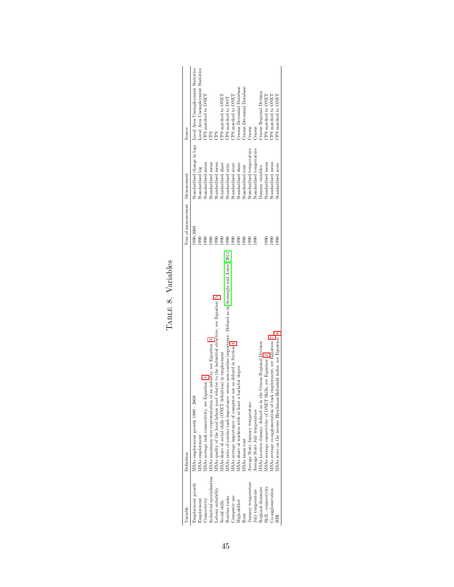<span id="page-46-0"></span>

| Standardised change in logs Local Area Unemployment Statistics<br><b>Jensus</b><br>Census<br>Sdí<br>Šď<br>Standardised temperature<br>Standardised temperature<br>Standardised share<br>Standardised mean<br>Standardised mean<br>Standardised share<br>Standardised mean<br>Standardised mean<br>Standardised score<br>Standardised mean<br>Standardised ratio<br>Standardised rent<br>Dummy variables<br>Standardised log<br>1990-2009<br>990<br>$\overline{50}$<br>990<br>$^{60}$<br>990<br>1990<br>59<br>60<br>$\frac{60}{20}$<br>990<br>$\frac{60}{20}$<br>versus non-routine importance. Defined as in Acemoglu and Autor (2011)<br>MSAs quality of the local labour pool relative to the industrial structure, see Equation $(5)$<br>employment, see Equation (7)<br>MSAs maximum over-representation of an industry, see Equation (3)<br>MSAs location dummy, defined as in the Census Regional Division<br>use as defined in Section 4<br>MSAs share of social skills (ONET definition) in employment<br>MSAs average connectivity of ONET Skills, see Equation (2)<br>MSAs share of workers with at least a bachelor degree<br>ISAs average task connectivity, see Equation (1)<br>MSAs ratio of routine task importance<br>MSAs average co-agglomeration of task<br>MSAs average importance of computer<br>MSAs employment growth 1990 - 2009<br>Average State January temperature<br>Average State July temperature<br>MSAs employment<br>MSAs mean rent<br>Industrial specialisation<br>anuary temperature<br>Employment growth<br>$\begin{array}{c} \text{July temperature}\\ \text{Required number}\\ \text{Still - connectivity} \end{array}$<br>Labour suitability<br>Co-agglomeration<br>Computer use<br>Routine tasks<br><b>Jonnectivity</b><br>Employment<br>Social skills<br>High-skilled<br>Rent | Variable | Definition                                                            | Year of measurement Measurement |                    | Source                             |
|------------------------------------------------------------------------------------------------------------------------------------------------------------------------------------------------------------------------------------------------------------------------------------------------------------------------------------------------------------------------------------------------------------------------------------------------------------------------------------------------------------------------------------------------------------------------------------------------------------------------------------------------------------------------------------------------------------------------------------------------------------------------------------------------------------------------------------------------------------------------------------------------------------------------------------------------------------------------------------------------------------------------------------------------------------------------------------------------------------------------------------------------------------------------------------------------------------------------------------------------------------------------------------------------------------------------------------------------------------------------------------------------------------------------------------------------------------------------------------------------------------------------------------------------------------------------------------------------------------------------------------------------------------------------------------------------------------------------------------------------------------------------------------------------------------------------|----------|-----------------------------------------------------------------------|---------------------------------|--------------------|------------------------------------|
|                                                                                                                                                                                                                                                                                                                                                                                                                                                                                                                                                                                                                                                                                                                                                                                                                                                                                                                                                                                                                                                                                                                                                                                                                                                                                                                                                                                                                                                                                                                                                                                                                                                                                                                                                                                                                        |          |                                                                       |                                 |                    |                                    |
|                                                                                                                                                                                                                                                                                                                                                                                                                                                                                                                                                                                                                                                                                                                                                                                                                                                                                                                                                                                                                                                                                                                                                                                                                                                                                                                                                                                                                                                                                                                                                                                                                                                                                                                                                                                                                        |          |                                                                       |                                 |                    | Local Area Unemployment Statistics |
|                                                                                                                                                                                                                                                                                                                                                                                                                                                                                                                                                                                                                                                                                                                                                                                                                                                                                                                                                                                                                                                                                                                                                                                                                                                                                                                                                                                                                                                                                                                                                                                                                                                                                                                                                                                                                        |          |                                                                       |                                 |                    | CPS matched to ONET                |
|                                                                                                                                                                                                                                                                                                                                                                                                                                                                                                                                                                                                                                                                                                                                                                                                                                                                                                                                                                                                                                                                                                                                                                                                                                                                                                                                                                                                                                                                                                                                                                                                                                                                                                                                                                                                                        |          |                                                                       |                                 |                    |                                    |
|                                                                                                                                                                                                                                                                                                                                                                                                                                                                                                                                                                                                                                                                                                                                                                                                                                                                                                                                                                                                                                                                                                                                                                                                                                                                                                                                                                                                                                                                                                                                                                                                                                                                                                                                                                                                                        |          |                                                                       |                                 |                    |                                    |
|                                                                                                                                                                                                                                                                                                                                                                                                                                                                                                                                                                                                                                                                                                                                                                                                                                                                                                                                                                                                                                                                                                                                                                                                                                                                                                                                                                                                                                                                                                                                                                                                                                                                                                                                                                                                                        |          |                                                                       |                                 |                    | TPS matched to ONET                |
|                                                                                                                                                                                                                                                                                                                                                                                                                                                                                                                                                                                                                                                                                                                                                                                                                                                                                                                                                                                                                                                                                                                                                                                                                                                                                                                                                                                                                                                                                                                                                                                                                                                                                                                                                                                                                        |          |                                                                       |                                 |                    | CPS matched to DOT                 |
|                                                                                                                                                                                                                                                                                                                                                                                                                                                                                                                                                                                                                                                                                                                                                                                                                                                                                                                                                                                                                                                                                                                                                                                                                                                                                                                                                                                                                                                                                                                                                                                                                                                                                                                                                                                                                        |          |                                                                       |                                 |                    | CPS matched to ONET                |
|                                                                                                                                                                                                                                                                                                                                                                                                                                                                                                                                                                                                                                                                                                                                                                                                                                                                                                                                                                                                                                                                                                                                                                                                                                                                                                                                                                                                                                                                                                                                                                                                                                                                                                                                                                                                                        |          |                                                                       |                                 |                    | Census Decennial Database          |
|                                                                                                                                                                                                                                                                                                                                                                                                                                                                                                                                                                                                                                                                                                                                                                                                                                                                                                                                                                                                                                                                                                                                                                                                                                                                                                                                                                                                                                                                                                                                                                                                                                                                                                                                                                                                                        |          |                                                                       |                                 |                    | Census Decennial Database          |
|                                                                                                                                                                                                                                                                                                                                                                                                                                                                                                                                                                                                                                                                                                                                                                                                                                                                                                                                                                                                                                                                                                                                                                                                                                                                                                                                                                                                                                                                                                                                                                                                                                                                                                                                                                                                                        |          |                                                                       |                                 |                    |                                    |
|                                                                                                                                                                                                                                                                                                                                                                                                                                                                                                                                                                                                                                                                                                                                                                                                                                                                                                                                                                                                                                                                                                                                                                                                                                                                                                                                                                                                                                                                                                                                                                                                                                                                                                                                                                                                                        |          |                                                                       |                                 |                    |                                    |
|                                                                                                                                                                                                                                                                                                                                                                                                                                                                                                                                                                                                                                                                                                                                                                                                                                                                                                                                                                                                                                                                                                                                                                                                                                                                                                                                                                                                                                                                                                                                                                                                                                                                                                                                                                                                                        |          |                                                                       |                                 |                    | <b>Census Regional Division</b>    |
|                                                                                                                                                                                                                                                                                                                                                                                                                                                                                                                                                                                                                                                                                                                                                                                                                                                                                                                                                                                                                                                                                                                                                                                                                                                                                                                                                                                                                                                                                                                                                                                                                                                                                                                                                                                                                        |          |                                                                       |                                 |                    | CPS matched to ONET                |
|                                                                                                                                                                                                                                                                                                                                                                                                                                                                                                                                                                                                                                                                                                                                                                                                                                                                                                                                                                                                                                                                                                                                                                                                                                                                                                                                                                                                                                                                                                                                                                                                                                                                                                                                                                                                                        |          |                                                                       |                                 |                    | <b>CPS</b> matched to ONET         |
|                                                                                                                                                                                                                                                                                                                                                                                                                                                                                                                                                                                                                                                                                                                                                                                                                                                                                                                                                                                                                                                                                                                                                                                                                                                                                                                                                                                                                                                                                                                                                                                                                                                                                                                                                                                                                        |          | MSAs score on the inverse Hirschman-Hefindahl index, see Equation (8) |                                 | Standardised score | CPS matched to ONET                |

TABLE 8. Variables TABLE 8. Variables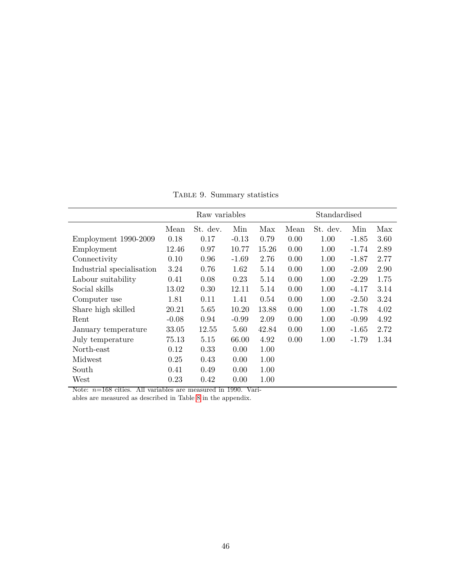Table 9. Summary statistics

<span id="page-47-0"></span>

|                           |         | Raw variables |         |       |      | Standardised |         |      |
|---------------------------|---------|---------------|---------|-------|------|--------------|---------|------|
|                           | Mean    | St. dev.      | Min     | Max   | Mean | St. dev.     | Min     | Max  |
| Employment 1990-2009      | 0.18    | 0.17          | $-0.13$ | 0.79  | 0.00 | 1.00         | $-1.85$ | 3.60 |
| Employment                | 12.46   | 0.97          | 10.77   | 15.26 | 0.00 | 1.00         | $-1.74$ | 2.89 |
| Connectivity              | 0.10    | 0.96          | $-1.69$ | 2.76  | 0.00 | 1.00         | $-1.87$ | 2.77 |
| Industrial specialisation | 3.24    | 0.76          | 1.62    | 5.14  | 0.00 | 1.00         | $-2.09$ | 2.90 |
| Labour suitability        | 0.41    | 0.08          | 0.23    | 5.14  | 0.00 | 1.00         | $-2.29$ | 1.75 |
| Social skills             | 13.02   | 0.30          | 12.11   | 5.14  | 0.00 | 1.00         | $-4.17$ | 3.14 |
| Computer use              | 1.81    | 0.11          | 1.41    | 0.54  | 0.00 | 1.00         | $-2.50$ | 3.24 |
| Share high skilled        | 20.21   | 5.65          | 10.20   | 13.88 | 0.00 | 1.00         | $-1.78$ | 4.02 |
| Rent                      | $-0.08$ | 0.94          | $-0.99$ | 2.09  | 0.00 | 1.00         | $-0.99$ | 4.92 |
| January temperature       | 33.05   | 12.55         | 5.60    | 42.84 | 0.00 | 1.00         | $-1.65$ | 2.72 |
| July temperature          | 75.13   | 5.15          | 66.00   | 4.92  | 0.00 | 1.00         | $-1.79$ | 1.34 |
| North-east                | 0.12    | 0.33          | 0.00    | 1.00  |      |              |         |      |
| Midwest                   | 0.25    | 0.43          | 0.00    | 1.00  |      |              |         |      |
| South                     | 0.41    | 0.49          | 0.00    | 1.00  |      |              |         |      |
| West                      | 0.23    | 0.42          | 0.00    | 1.00  |      |              |         |      |

Note: *n*=168 cities. All variables are measured in 1990. Vari-

ables are measured as described in Table [8](#page-46-0) in the appendix.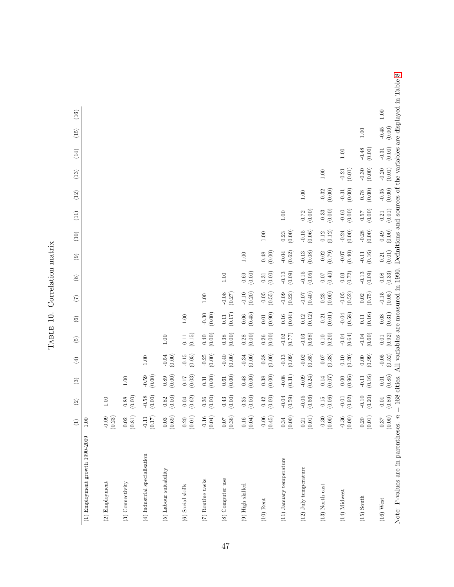<span id="page-48-0"></span>

|                                           | $\left( \exists\right)$ | $\widehat{c}$          | $\widehat{c}$                                                                                                          | $\bigoplus$        | $\widetilde{5}$    | $\odot$              | $\widehat{C}$      | $\circledast$        | $\circledcirc$     | (10)                        | (11)              | (12)                | $(13)$              | (14)              | (15)              | (16)     |
|-------------------------------------------|-------------------------|------------------------|------------------------------------------------------------------------------------------------------------------------|--------------------|--------------------|----------------------|--------------------|----------------------|--------------------|-----------------------------|-------------------|---------------------|---------------------|-------------------|-------------------|----------|
| $(1)$ Employment growth 1990-2009         | 1.00                    |                        |                                                                                                                        |                    |                    |                      |                    |                      |                    |                             |                   |                     |                     |                   |                   |          |
| $(2)$ Employment                          | (0.23)<br>$-0.09$       | $1.00\,$               |                                                                                                                        |                    |                    |                      |                    |                      |                    |                             |                   |                     |                     |                   |                   |          |
| (3) Connectivity                          | (0.81)<br>0.02          | (0.00)<br>$0.88\,$     | $1.00\,$                                                                                                               |                    |                    |                      |                    |                      |                    |                             |                   |                     |                     |                   |                   |          |
| $(4)$ Industrial specialisation           | (0.17)<br>$-0.11$       | $(0.00)$<br>$-0.58$    | $-0.59$<br>(0.00)                                                                                                      | $1.00\,$           |                    |                      |                    |                      |                    |                             |                   |                     |                     |                   |                   |          |
| (5) Labour suitability                    | (0.69)<br>$\,0.03$      | $(0.00)$<br>$\!0.82\!$ | (0.00)                                                                                                                 | (0.00)<br>$-0.54$  | $1.00\,$           |                      |                    |                      |                    |                             |                   |                     |                     |                   |                   |          |
| (6) Social skills                         | $(0.01)$<br>0.20        | (0.62)<br>$0.04\,$     | (0.03)<br>0.17                                                                                                         | (0.05)<br>$-0.15$  | (0.15)<br>0.11     | $1.00\,$             |                    |                      |                    |                             |                   |                     |                     |                   |                   |          |
| $(7)$ Routine tasks                       | (0.04)<br>$-0.16$       | $(0.00)$<br>0.36       | (0.31)                                                                                                                 | (0.00)<br>$-0.25$  | (0.00)             | $-0.30$<br>(0.00)    | $1.00\,$           |                      |                    |                             |                   |                     |                     |                   |                   |          |
| (8) Computer use                          | (0.36)<br>$0.07$        | (0.00)<br>$\,0.43$     | $(0.00)$<br>$\!0.61$                                                                                                   | (0.00)<br>$-0.40$  | (0.00)<br>0.38     | (0.17)<br>0.11       | $-0.08$<br>(0.27)  | $1.00\,$             |                    |                             |                   |                     |                     |                   |                   |          |
| (9) High skilled                          | (0.04)<br>$0.16\,$      | (0.00)<br>0.35         | (0.00)<br>$0.48\,$                                                                                                     | (0.00)<br>$-0.34$  | (0.00)<br>$0.28\,$ | (0.45)<br>$\!0.06\!$ | (0.20)<br>$-0.10$  | (0.00)<br>$\,0.69\,$ | $1.00\,$           |                             |                   |                     |                     |                   |                   |          |
| $(10)$ Rent                               | (0.45)<br>$-0.06$       | (0.00)<br>0.42         | (0.38)                                                                                                                 | (0.00)<br>$-0.38$  | (0.00)<br>$0.26\,$ | (0.90)<br>$0.01\,$   | (0.55)<br>$-0.05$  | (0.00)<br>$\!0.31\!$ | (0.00)<br>0.48     | $1.00\,$                    |                   |                     |                     |                   |                   |          |
| (11) January temperature                  | (0.00)<br>$\!0.34\!$    | (0.59)<br>$-0.04$      | (0.31)<br>$-0.08$                                                                                                      | (0.09)<br>$-0.13$  | $-0.02$<br>(0.77)  | (0.04)<br>$0.16\,$   | (0.22)<br>$-0.09$  | (0.09)<br>$-0.13$    | (0.62)<br>$-0.04$  | (0.00)<br>$0.23\,$          | 1.00              |                     |                     |                   |                   |          |
| $(12)$ July temperature                   | (0.01)<br>0.21          | (0.56)<br>$-0.05$      | (0.24)<br>$-0.09$                                                                                                      | (0.85)<br>$-0.02$  | (0.68)<br>$-0.03$  | (0.12)<br>0.12       | (0.40)<br>$-0.07$  | (0.05)<br>$-0.15$    | (0.08)<br>$-0.13$  | (0.06)<br>$-0.15$           | (0.00)<br>0.72    | $1.00\,$            |                     |                   |                   |          |
| (13) North-east                           | $(0.00)$<br>$-0.30$     | (0.06)<br>0.15         | (0.07)<br>$0.14\,$                                                                                                     | (0.38)<br>$-0.07$  | (0.20)<br>$0.10$   | (0.01)<br>$-0.21$    | (0.00)<br>0.23     | (0.40)<br>$0.07$     | (0.79)<br>$-0.02$  | $\left(0.12\right)$<br>0.12 | (0.00)<br>$-0.33$ | $(0.00)$<br>$-0.32$ | $1.00\,$            |                   |                   |          |
| (14) Midwest                              | $(0.00)$<br>$-0.36$     | $(0.92)$<br>$-0.01$    | (0.96)<br>$0.00$                                                                                                       | (0.20)<br>$0.10\,$ | (0.64)<br>$-0.04$  | (0.58)<br>$-0.04$    | (0.52)<br>$-0.05$  | (0.72)<br>$\rm 0.03$ | (0.0, 0)           | (0.00)<br>$-0.24$           | (0.00)<br>$-0.60$ | $-0.31$<br>(0.00)   | (0.01)<br>$-0.21$   | $1.00\,$          |                   |          |
| $(15)$ South                              | (0.01)<br>0.20          | $-0.10$<br>$(0.20)$    | (0.16)<br>$-0.11$                                                                                                      | (0.99)<br>$0.00$   | (0.60)<br>$-0.04$  | (0.16)<br>0.11       | (0.75)<br>$0.02\,$ | (0.09)<br>$-0.13$    | (0.16)<br>$-0.11$  | (0.00)<br>$-0.28$           | (0.00)<br>0.57    | (0.00)              | $(0.00)$<br>$-0.30$ | $-0.48$<br>(0.00) | $1.00\,$          |          |
| $(16)$ West                               | (0.00)                  | (0.89)<br>$0.01\,$     | (0.85)<br>$0.01\,$                                                                                                     | (0.52)<br>$-0.05$  | (0.92)<br>$0.01\,$ | (0.31)<br>$0.08\,$   | (0.05)<br>$-0.15$  | (0.33)<br>$0.08\,$   | (0.01)<br>$0.21\,$ | (0.00)<br>0.49              | (0.01)<br>0.21    | $-0.35$<br>(0.00)   | $-0.20$<br>(0.01)   | (0.00)<br>$-0.31$ | $-0.45$<br>(0.00) | $1.00\,$ |
| Note: $P$ -values are in parentheses. $n$ |                         |                        | $=$ 168 cities. All variables are measured in 1990. Definitions and sources of the variables are displayed in Table 8. |                    |                    |                      |                    |                      |                    |                             |                   |                     |                     |                   |                   |          |

TABLE 10. Correlation matrix TABLE 10. Correlation matrix